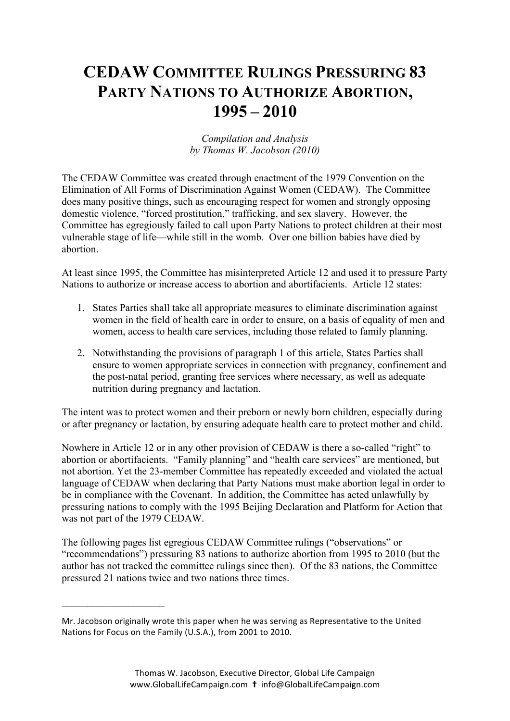## **CEDAW COMMITTEE RULINGS PRESSURING 83 PARTY NATIONS TO AUTHORIZE ABORTION, 1995 – 2010**

*Compilation and Analysis by Thomas W. Jacobson (2010)*

The CEDAW Committee was created through enactment of the 1979 Convention on the Elimination of All Forms of Discrimination Against Women (CEDAW). The Committee does many positive things, such as encouraging respect for women and strongly opposing domestic violence, "forced prostitution," trafficking, and sex slavery. However, the Committee has egregiously failed to call upon Party Nations to protect children at their most vulnerable stage of life—while still in the womb. Over one billion babies have died by abortion.

At least since 1995, the Committee has misinterpreted Article 12 and used it to pressure Party Nations to authorize or increase access to abortion and abortifacients. Article 12 states:

- 1. States Parties shall take all appropriate measures to eliminate discrimination against women in the field of health care in order to ensure, on a basis of equality of men and women, access to health care services, including those related to family planning.
- 2. Notwithstanding the provisions of paragraph 1 of this article, States Parties shall ensure to women appropriate services in connection with pregnancy, confinement and the post-natal period, granting free services where necessary, as well as adequate nutrition during pregnancy and lactation.

The intent was to protect women and their preborn or newly born children, especially during or after pregnancy or lactation, by ensuring adequate health care to protect mother and child.

Nowhere in Article 12 or in any other provision of CEDAW is there a so-called "right" to abortion or abortifacients. "Family planning" and "health care services" are mentioned, but not abortion. Yet the 23-member Committee has repeatedly exceeded and violated the actual language of CEDAW when declaring that Party Nations must make abortion legal in order to be in compliance with the Covenant. In addition, the Committee has acted unlawfully by pressuring nations to comply with the 1995 Beijing Declaration and Platform for Action that was not part of the 1979 CEDAW.

The following pages list egregious CEDAW Committee rulings ("observations" or "recommendations") pressuring 83 nations to authorize abortion from 1995 to 2010 (but the author has not tracked the committee rulings since then). Of the 83 nations, the Committee pressured 21 nations twice and two nations three times.

 $\mathcal{L}_\text{max}$  , where  $\mathcal{L}_\text{max}$  , we have the set of  $\mathcal{L}_\text{max}$ 

Mr. Jacobson originally wrote this paper when he was serving as Representative to the United Nations for Focus on the Family (U.S.A.), from 2001 to 2010.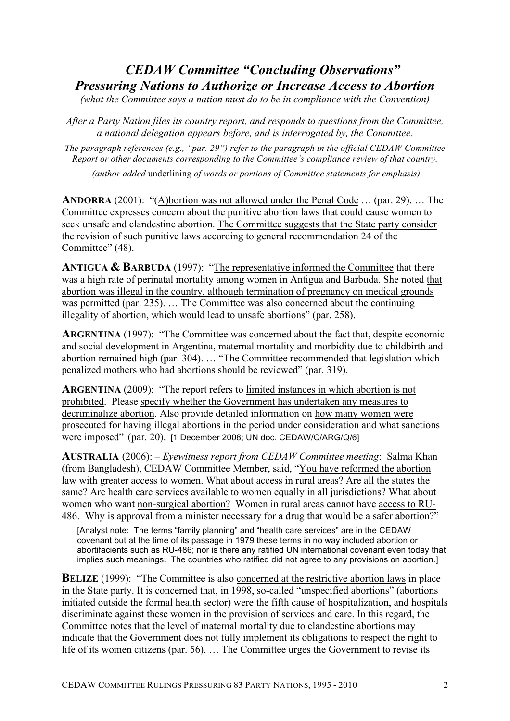## *CEDAW Committee "Concluding Observations" Pressuring Nations to Authorize or Increase Access to Abortion*

*(what the Committee says a nation must do to be in compliance with the Convention)*

*After a Party Nation files its country report, and responds to questions from the Committee, a national delegation appears before, and is interrogated by, the Committee.*

*The paragraph references (e.g., "par. 29") refer to the paragraph in the official CEDAW Committee Report or other documents corresponding to the Committee's compliance review of that country.*

*(author added* underlining *of words or portions of Committee statements for emphasis)*

**ANDORRA** (2001): "(A)bortion was not allowed under the Penal Code … (par. 29). … The Committee expresses concern about the punitive abortion laws that could cause women to seek unsafe and clandestine abortion. The Committee suggests that the State party consider the revision of such punitive laws according to general recommendation 24 of the Committee" (48).

**ANTIGUA & BARBUDA** (1997): "The representative informed the Committee that there was a high rate of perinatal mortality among women in Antigua and Barbuda. She noted that abortion was illegal in the country, although termination of pregnancy on medical grounds was permitted (par. 235). … The Committee was also concerned about the continuing illegality of abortion, which would lead to unsafe abortions" (par. 258).

**ARGENTINA** (1997): "The Committee was concerned about the fact that, despite economic and social development in Argentina, maternal mortality and morbidity due to childbirth and abortion remained high (par. 304). … "The Committee recommended that legislation which penalized mothers who had abortions should be reviewed" (par. 319).

**ARGENTINA** (2009): "The report refers to limited instances in which abortion is not prohibited. Please specify whether the Government has undertaken any measures to decriminalize abortion. Also provide detailed information on how many women were prosecuted for having illegal abortions in the period under consideration and what sanctions were imposed" (par. 20). [1 December 2008; UN doc. CEDAW/C/ARG/Q/6]

**AUSTRALIA** (2006): – *Eyewitness report from CEDAW Committee meeting*: Salma Khan (from Bangladesh), CEDAW Committee Member, said, "You have reformed the abortion law with greater access to women. What about access in rural areas? Are all the states the same? Are health care services available to women equally in all jurisdictions? What about women who want non-surgical abortion? Women in rural areas cannot have access to RU-486.Why is approval from a minister necessary for a drug that would be a safer abortion?"

[Analyst note: The terms "family planning" and "health care services" are in the CEDAW covenant but at the time of its passage in 1979 these terms in no way included abortion or abortifacients such as RU-486; nor is there any ratified UN international covenant even today that implies such meanings. The countries who ratified did not agree to any provisions on abortion.]

**BELIZE** (1999): "The Committee is also concerned at the restrictive abortion laws in place in the State party. It is concerned that, in 1998, so-called "unspecified abortions" (abortions initiated outside the formal health sector) were the fifth cause of hospitalization, and hospitals discriminate against these women in the provision of services and care. In this regard, the Committee notes that the level of maternal mortality due to clandestine abortions may indicate that the Government does not fully implement its obligations to respect the right to life of its women citizens (par. 56). … The Committee urges the Government to revise its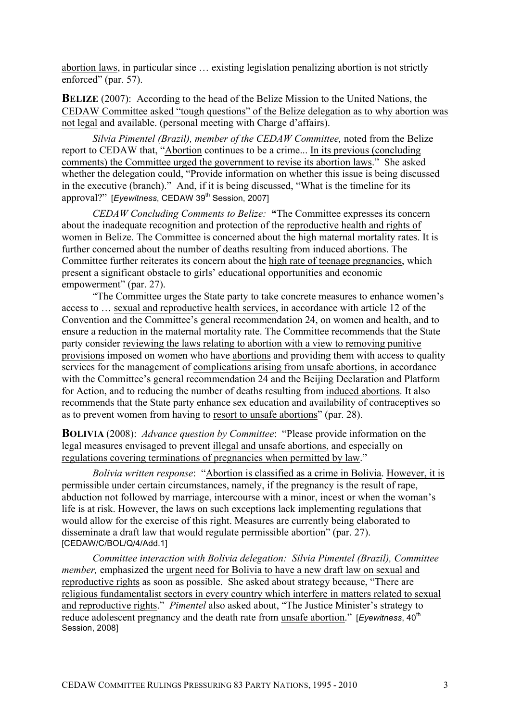abortion laws, in particular since … existing legislation penalizing abortion is not strictly enforced" (par. 57).

**BELIZE** (2007): According to the head of the Belize Mission to the United Nations, the CEDAW Committee asked "tough questions" of the Belize delegation as to why abortion was not legal and available. (personal meeting with Charge d'affairs).

*Silvia Pimentel (Brazil), member of the CEDAW Committee,* noted from the Belize report to CEDAW that, "Abortion continues to be a crime... In its previous (concluding comments) the Committee urged the government to revise its abortion laws." She asked whether the delegation could, "Provide information on whether this issue is being discussed in the executive (branch)." And, if it is being discussed, "What is the timeline for its approval?" [*Eyewitness*, CEDAW 39<sup>th</sup> Session, 2007]

*CEDAW Concluding Comments to Belize:* **"**The Committee expresses its concern about the inadequate recognition and protection of the reproductive health and rights of women in Belize. The Committee is concerned about the high maternal mortality rates. It is further concerned about the number of deaths resulting from induced abortions. The Committee further reiterates its concern about the high rate of teenage pregnancies, which present a significant obstacle to girls' educational opportunities and economic empowerment" (par. 27).

"The Committee urges the State party to take concrete measures to enhance women's access to … sexual and reproductive health services, in accordance with article 12 of the Convention and the Committee's general recommendation 24, on women and health, and to ensure a reduction in the maternal mortality rate. The Committee recommends that the State party consider reviewing the laws relating to abortion with a view to removing punitive provisions imposed on women who have abortions and providing them with access to quality services for the management of complications arising from unsafe abortions, in accordance with the Committee's general recommendation 24 and the Beijing Declaration and Platform for Action, and to reducing the number of deaths resulting from induced abortions. It also recommends that the State party enhance sex education and availability of contraceptives so as to prevent women from having to resort to unsafe abortions" (par. 28).

**BOLIVIA** (2008): *Advance question by Committee*: "Please provide information on the legal measures envisaged to prevent illegal and unsafe abortions, and especially on regulations covering terminations of pregnancies when permitted by law."

*Bolivia written response*: "Abortion is classified as a crime in Bolivia. However, it is permissible under certain circumstances, namely, if the pregnancy is the result of rape, abduction not followed by marriage, intercourse with a minor, incest or when the woman's life is at risk. However, the laws on such exceptions lack implementing regulations that would allow for the exercise of this right. Measures are currently being elaborated to disseminate a draft law that would regulate permissible abortion" (par. 27). [CEDAW/C/BOL/Q/4/Add.1]

*Committee interaction with Bolivia delegation: Silvia Pimentel (Brazil), Committee member,* emphasized the urgent need for Bolivia to have a new draft law on sexual and reproductive rights as soon as possible. She asked about strategy because, "There are religious fundamentalist sectors in every country which interfere in matters related to sexual and reproductive rights." *Pimentel* also asked about, "The Justice Minister's strategy to reduce adolescent pregnancy and the death rate from unsafe abortion." [*Eyewitness*, 40<sup>th</sup> Session, 2008]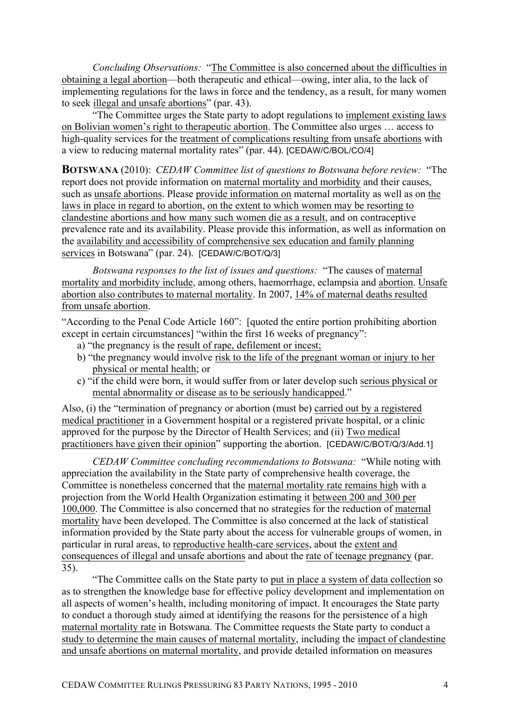*Concluding Observations:* "The Committee is also concerned about the difficulties in obtaining a legal abortion—both therapeutic and ethical—owing, inter alia, to the lack of implementing regulations for the laws in force and the tendency, as a result, for many women to seek illegal and unsafe abortions" (par. 43).

"The Committee urges the State party to adopt regulations to implement existing laws on Bolivian women's right to therapeutic abortion. The Committee also urges … access to high-quality services for the treatment of complications resulting from unsafe abortions with a view to reducing maternal mortality rates" (par. 44). [CEDAW/C/BOL/CO/4]

**BOTSWANA** (2010): *CEDAW Committee list of questions to Botswana before review:* "The report does not provide information on maternal mortality and morbidity and their causes, such as unsafe abortions. Please provide information on maternal mortality as well as on the laws in place in regard to abortion, on the extent to which women may be resorting to clandestine abortions and how many such women die as a result, and on contraceptive prevalence rate and its availability. Please provide this information, as well as information on the availability and accessibility of comprehensive sex education and family planning services in Botswana" (par. 24). [CEDAW/C/BOT/Q/3]

*Botswana responses to the list of issues and questions:* "The causes of maternal mortality and morbidity include, among others, haemorrhage, eclampsia and abortion. Unsafe abortion also contributes to maternal mortality. In 2007, 14% of maternal deaths resulted from unsafe abortion.

"According to the Penal Code Article 160": [quoted the entire portion prohibiting abortion except in certain circumstances] "within the first 16 weeks of pregnancy":

- a) "the pregnancy is the result of rape, defilement or incest;
- b) "the pregnancy would involve risk to the life of the pregnant woman or injury to her physical or mental health; or
- c) "if the child were born, it would suffer from or later develop such serious physical or mental abnormality or disease as to be seriously handicapped."

Also, (i) the "termination of pregnancy or abortion (must be) carried out by a registered medical practitioner in a Government hospital or a registered private hospital, or a clinic approved for the purpose by the Director of Health Services; and (ii) Two medical practitioners have given their opinion" supporting the abortion. [CEDAW/C/BOT/Q/3/Add.1]

*CEDAW Committee concluding recommendations to Botswana:* "While noting with appreciation the availability in the State party of comprehensive health coverage, the Committee is nonetheless concerned that the maternal mortality rate remains high with a projection from the World Health Organization estimating it between 200 and 300 per 100,000. The Committee is also concerned that no strategies for the reduction of maternal mortality have been developed. The Committee is also concerned at the lack of statistical information provided by the State party about the access for vulnerable groups of women, in particular in rural areas, to reproductive health-care services, about the extent and consequences of illegal and unsafe abortions and about the rate of teenage pregnancy (par. 35).

"The Committee calls on the State party to put in place a system of data collection so as to strengthen the knowledge base for effective policy development and implementation on all aspects of women's health, including monitoring of impact. It encourages the State party to conduct a thorough study aimed at identifying the reasons for the persistence of a high maternal mortality rate in Botswana. The Committee requests the State party to conduct a study to determine the main causes of maternal mortality, including the impact of clandestine and unsafe abortions on maternal mortality, and provide detailed information on measures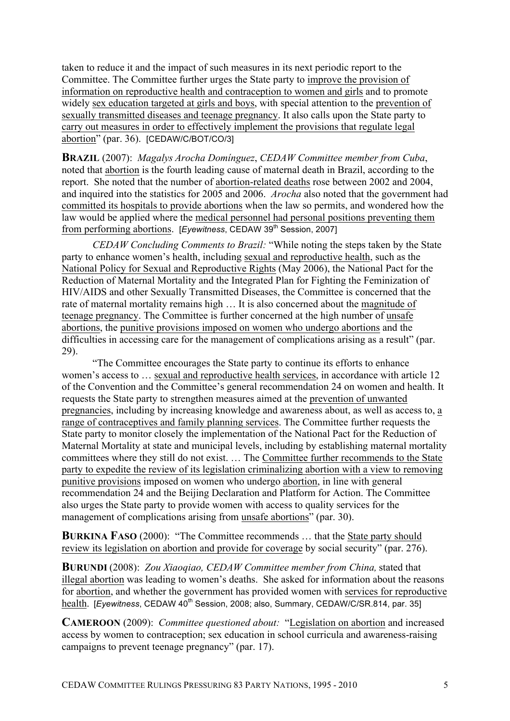taken to reduce it and the impact of such measures in its next periodic report to the Committee. The Committee further urges the State party to improve the provision of information on reproductive health and contraception to women and girls and to promote widely sex education targeted at girls and boys, with special attention to the prevention of sexually transmitted diseases and teenage pregnancy. It also calls upon the State party to carry out measures in order to effectively implement the provisions that regulate legal abortion" (par. 36). [CEDAW/C/BOT/CO/3]

**BRAZIL** (2007): *Magalys Arocha Domínguez*, *CEDAW Committee member from Cuba*, noted that abortion is the fourth leading cause of maternal death in Brazil, according to the report. She noted that the number of abortion-related deaths rose between 2002 and 2004, and inquired into the statistics for 2005 and 2006. *Arocha* also noted that the government had committed its hospitals to provide abortions when the law so permits, and wondered how the law would be applied where the medical personnel had personal positions preventing them from performing abortions. [*Eyewitness*, CEDAW 39<sup>th</sup> Session, 2007]

*CEDAW Concluding Comments to Brazil:* "While noting the steps taken by the State party to enhance women's health, including sexual and reproductive health, such as the National Policy for Sexual and Reproductive Rights (May 2006), the National Pact for the Reduction of Maternal Mortality and the Integrated Plan for Fighting the Feminization of HIV/AIDS and other Sexually Transmitted Diseases, the Committee is concerned that the rate of maternal mortality remains high … It is also concerned about the magnitude of teenage pregnancy. The Committee is further concerned at the high number of unsafe abortions, the punitive provisions imposed on women who undergo abortions and the difficulties in accessing care for the management of complications arising as a result" (par. 29).

"The Committee encourages the State party to continue its efforts to enhance women's access to … sexual and reproductive health services, in accordance with article 12 of the Convention and the Committee's general recommendation 24 on women and health. It requests the State party to strengthen measures aimed at the prevention of unwanted pregnancies, including by increasing knowledge and awareness about, as well as access to, a range of contraceptives and family planning services. The Committee further requests the State party to monitor closely the implementation of the National Pact for the Reduction of Maternal Mortality at state and municipal levels, including by establishing maternal mortality committees where they still do not exist. … The Committee further recommends to the State party to expedite the review of its legislation criminalizing abortion with a view to removing punitive provisions imposed on women who undergo abortion, in line with general recommendation 24 and the Beijing Declaration and Platform for Action. The Committee also urges the State party to provide women with access to quality services for the management of complications arising from unsafe abortions" (par. 30).

**BURKINA FASO** (2000): "The Committee recommends ... that the State party should review its legislation on abortion and provide for coverage by social security" (par. 276).

**BURUNDI** (2008): *Zou Xiaoqiao, CEDAW Committee member from China,* stated that illegal abortion was leading to women's deaths. She asked for information about the reasons for abortion, and whether the government has provided women with services for reproductive health. [*Eyewitness*, CEDAW 40<sup>th</sup> Session, 2008; also, Summary, CEDAW/C/SR.814, par. 35]

**CAMEROON** (2009):*Committee questioned about:* "Legislation on abortion and increased access by women to contraception; sex education in school curricula and awareness-raising campaigns to prevent teenage pregnancy" (par. 17).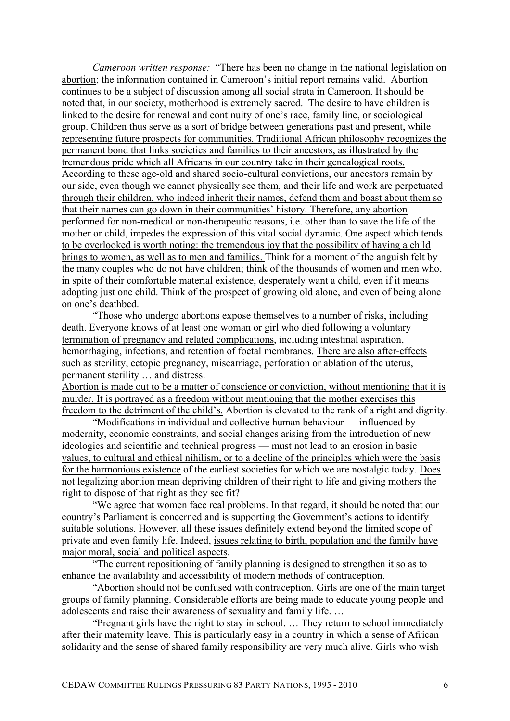*Cameroon written response:* "There has been no change in the national legislation on abortion; the information contained in Cameroon's initial report remains valid. Abortion continues to be a subject of discussion among all social strata in Cameroon. It should be noted that, in our society, motherhood is extremely sacred. The desire to have children is linked to the desire for renewal and continuity of one's race, family line, or sociological group. Children thus serve as a sort of bridge between generations past and present, while representing future prospects for communities. Traditional African philosophy recognizes the permanent bond that links societies and families to their ancestors, as illustrated by the tremendous pride which all Africans in our country take in their genealogical roots. According to these age-old and shared socio-cultural convictions, our ancestors remain by our side, even though we cannot physically see them, and their life and work are perpetuated through their children, who indeed inherit their names, defend them and boast about them so that their names can go down in their communities' history. Therefore, any abortion performed for non-medical or non-therapeutic reasons, i.e. other than to save the life of the mother or child, impedes the expression of this vital social dynamic. One aspect which tends to be overlooked is worth noting: the tremendous joy that the possibility of having a child brings to women, as well as to men and families. Think for a moment of the anguish felt by the many couples who do not have children; think of the thousands of women and men who, in spite of their comfortable material existence, desperately want a child, even if it means adopting just one child. Think of the prospect of growing old alone, and even of being alone on one's deathbed.

"Those who undergo abortions expose themselves to a number of risks, including death. Everyone knows of at least one woman or girl who died following a voluntary termination of pregnancy and related complications, including intestinal aspiration, hemorrhaging, infections, and retention of foetal membranes. There are also after-effects such as sterility, ectopic pregnancy, miscarriage, perforation or ablation of the uterus, permanent sterility … and distress.

Abortion is made out to be a matter of conscience or conviction, without mentioning that it is murder. It is portrayed as a freedom without mentioning that the mother exercises this freedom to the detriment of the child's. Abortion is elevated to the rank of a right and dignity.

"Modifications in individual and collective human behaviour — influenced by modernity, economic constraints, and social changes arising from the introduction of new ideologies and scientific and technical progress — must not lead to an erosion in basic values, to cultural and ethical nihilism, or to a decline of the principles which were the basis for the harmonious existence of the earliest societies for which we are nostalgic today. Does not legalizing abortion mean depriving children of their right to life and giving mothers the right to dispose of that right as they see fit?

"We agree that women face real problems. In that regard, it should be noted that our country's Parliament is concerned and is supporting the Government's actions to identify suitable solutions. However, all these issues definitely extend beyond the limited scope of private and even family life. Indeed, issues relating to birth, population and the family have major moral, social and political aspects.

"The current repositioning of family planning is designed to strengthen it so as to enhance the availability and accessibility of modern methods of contraception.

"Abortion should not be confused with contraception. Girls are one of the main target groups of family planning. Considerable efforts are being made to educate young people and adolescents and raise their awareness of sexuality and family life. …

"Pregnant girls have the right to stay in school. … They return to school immediately after their maternity leave. This is particularly easy in a country in which a sense of African solidarity and the sense of shared family responsibility are very much alive. Girls who wish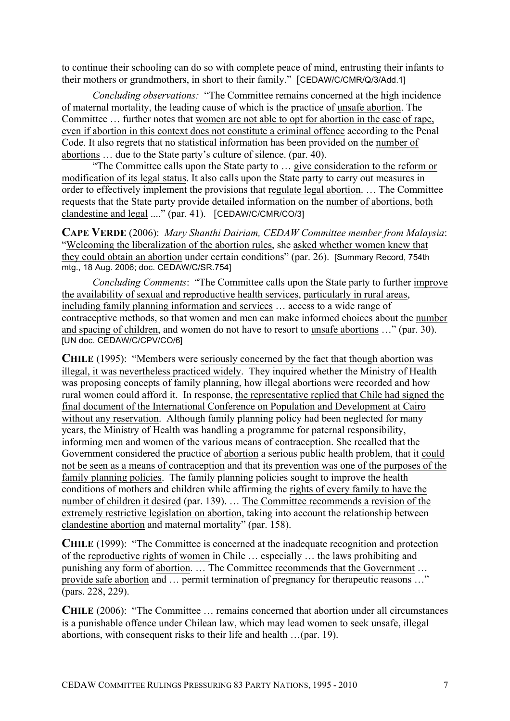to continue their schooling can do so with complete peace of mind, entrusting their infants to their mothers or grandmothers, in short to their family." [CEDAW/C/CMR/Q/3/Add.1]

*Concluding observations:* "The Committee remains concerned at the high incidence of maternal mortality, the leading cause of which is the practice of unsafe abortion. The Committee … further notes that women are not able to opt for abortion in the case of rape, even if abortion in this context does not constitute a criminal offence according to the Penal Code. It also regrets that no statistical information has been provided on the number of abortions … due to the State party's culture of silence. (par. 40).

"The Committee calls upon the State party to … give consideration to the reform or modification of its legal status. It also calls upon the State party to carry out measures in order to effectively implement the provisions that regulate legal abortion. … The Committee requests that the State party provide detailed information on the number of abortions, both clandestine and legal ...." (par. 41).[CEDAW/C/CMR/CO/3]

**CAPE VERDE** (2006): *Mary Shanthi Dairiam, CEDAW Committee member from Malaysia*: "Welcoming the liberalization of the abortion rules, she asked whether women knew that they could obtain an abortion under certain conditions" (par. 26). [Summary Record, 754th mtg., 18 Aug. 2006; doc. CEDAW/C/SR.754]

*Concluding Comments*: "The Committee calls upon the State party to further improve the availability of sexual and reproductive health services, particularly in rural areas, including family planning information and services … access to a wide range of contraceptive methods, so that women and men can make informed choices about the number and spacing of children, and women do not have to resort to unsafe abortions …" (par. 30). [UN doc. CEDAW/C/CPV/CO/6]

**CHILE** (1995): "Members were seriously concerned by the fact that though abortion was illegal, it was nevertheless practiced widely. They inquired whether the Ministry of Health was proposing concepts of family planning, how illegal abortions were recorded and how rural women could afford it. In response, the representative replied that Chile had signed the final document of the International Conference on Population and Development at Cairo without any reservation. Although family planning policy had been neglected for many years, the Ministry of Health was handling a programme for paternal responsibility, informing men and women of the various means of contraception. She recalled that the Government considered the practice of abortion a serious public health problem, that it could not be seen as a means of contraception and that its prevention was one of the purposes of the family planning policies. The family planning policies sought to improve the health conditions of mothers and children while affirming the rights of every family to have the number of children it desired (par. 139). … The Committee recommends a revision of the extremely restrictive legislation on abortion, taking into account the relationship between clandestine abortion and maternal mortality" (par. 158).

**CHILE** (1999): "The Committee is concerned at the inadequate recognition and protection of the reproductive rights of women in Chile … especially … the laws prohibiting and punishing any form of abortion. … The Committee recommends that the Government … provide safe abortion and … permit termination of pregnancy for therapeutic reasons …" (pars. 228, 229).

**CHILE** (2006): "The Committee … remains concerned that abortion under all circumstances is a punishable offence under Chilean law, which may lead women to seek unsafe, illegal abortions, with consequent risks to their life and health …(par. 19).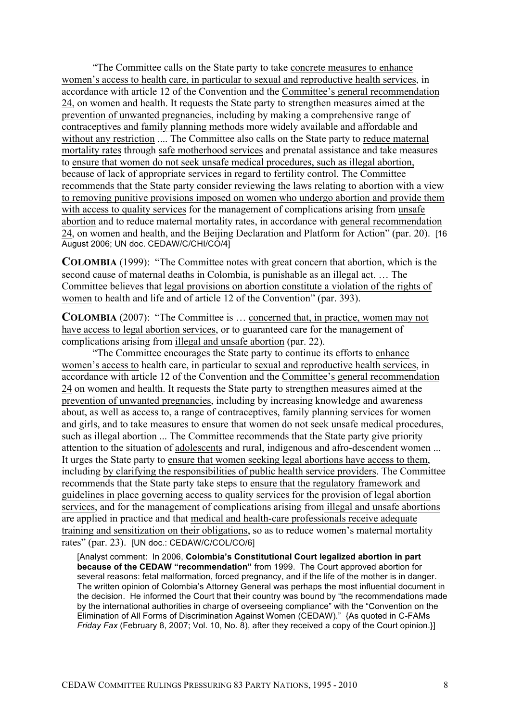"The Committee calls on the State party to take concrete measures to enhance women's access to health care, in particular to sexual and reproductive health services, in accordance with article 12 of the Convention and the Committee's general recommendation 24, on women and health. It requests the State party to strengthen measures aimed at the prevention of unwanted pregnancies, including by making a comprehensive range of contraceptives and family planning methods more widely available and affordable and without any restriction .... The Committee also calls on the State party to reduce maternal mortality rates through safe motherhood services and prenatal assistance and take measures to ensure that women do not seek unsafe medical procedures, such as illegal abortion, because of lack of appropriate services in regard to fertility control. The Committee recommends that the State party consider reviewing the laws relating to abortion with a view to removing punitive provisions imposed on women who undergo abortion and provide them with access to quality services for the management of complications arising from unsafe abortion and to reduce maternal mortality rates, in accordance with general recommendation 24, on women and health, and the Beijing Declaration and Platform for Action" (par. 20). [16 August 2006; UN doc. CEDAW/C/CHI/CO/4]

**COLOMBIA** (1999): "The Committee notes with great concern that abortion, which is the second cause of maternal deaths in Colombia, is punishable as an illegal act. … The Committee believes that legal provisions on abortion constitute a violation of the rights of women to health and life and of article 12 of the Convention" (par. 393).

**COLOMBIA** (2007): "The Committee is ... concerned that, in practice, women may not have access to legal abortion services, or to guaranteed care for the management of complications arising from illegal and unsafe abortion (par. 22).

"The Committee encourages the State party to continue its efforts to enhance women's access to health care, in particular to sexual and reproductive health services, in accordance with article 12 of the Convention and the Committee's general recommendation 24 on women and health. It requests the State party to strengthen measures aimed at the prevention of unwanted pregnancies, including by increasing knowledge and awareness about, as well as access to, a range of contraceptives, family planning services for women and girls, and to take measures to ensure that women do not seek unsafe medical procedures, such as illegal abortion ... The Committee recommends that the State party give priority attention to the situation of adolescents and rural, indigenous and afro-descendent women ... It urges the State party to ensure that women seeking legal abortions have access to them, including by clarifying the responsibilities of public health service providers. The Committee recommends that the State party take steps to ensure that the regulatory framework and guidelines in place governing access to quality services for the provision of legal abortion services, and for the management of complications arising from illegal and unsafe abortions are applied in practice and that medical and health-care professionals receive adequate training and sensitization on their obligations, so as to reduce women's maternal mortality rates" (par. 23). [UN doc.: CEDAW/C/COL/CO/6]

[Analyst comment: In 2006, **Colombia's Constitutional Court legalized abortion in part because of the CEDAW "recommendation"** from 1999. The Court approved abortion for several reasons: fetal malformation, forced pregnancy, and if the life of the mother is in danger. The written opinion of Colombia's Attorney General was perhaps the most influential document in the decision. He informed the Court that their country was bound by "the recommendations made by the international authorities in charge of overseeing compliance" with the "Convention on the Elimination of All Forms of Discrimination Against Women (CEDAW)." {As quoted in C-FAMs *Friday Fax* (February 8, 2007; Vol. 10, No. 8), after they received a copy of the Court opinion.}]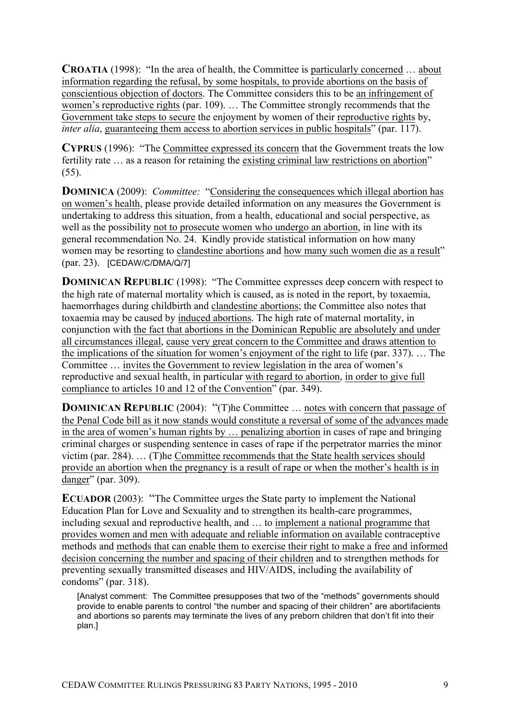**CROATIA** (1998): "In the area of health, the Committee is particularly concerned … about information regarding the refusal, by some hospitals, to provide abortions on the basis of conscientious objection of doctors. The Committee considers this to be an infringement of women's reproductive rights (par. 109). … The Committee strongly recommends that the Government take steps to secure the enjoyment by women of their reproductive rights by, *inter alia*, guaranteeing them access to abortion services in public hospitals" (par. 117).

**CYPRUS** (1996): "The Committee expressed its concern that the Government treats the low fertility rate ... as a reason for retaining the existing criminal law restrictions on abortion" (55).

**DOMINICA** (2009): *Committee:* "Considering the consequences which illegal abortion has on women's health, please provide detailed information on any measures the Government is undertaking to address this situation, from a health, educational and social perspective, as well as the possibility not to prosecute women who undergo an abortion, in line with its general recommendation No. 24. Kindly provide statistical information on how many women may be resorting to clandestine abortions and how many such women die as a result" (par. 23). [CEDAW/C/DMA/Q/7]

**DOMINICAN REPUBLIC** (1998): "The Committee expresses deep concern with respect to the high rate of maternal mortality which is caused, as is noted in the report, by toxaemia, haemorrhages during childbirth and clandestine abortions; the Committee also notes that toxaemia may be caused by induced abortions. The high rate of maternal mortality, in conjunction with the fact that abortions in the Dominican Republic are absolutely and under all circumstances illegal, cause very great concern to the Committee and draws attention to the implications of the situation for women's enjoyment of the right to life (par. 337). … The Committee … invites the Government to review legislation in the area of women's reproductive and sexual health, in particular with regard to abortion, in order to give full compliance to articles 10 and 12 of the Convention" (par. 349).

**DOMINICAN REPUBLIC** (2004): "(T)he Committee ... notes with concern that passage of the Penal Code bill as it now stands would constitute a reversal of some of the advances made in the area of women's human rights by … penalizing abortion in cases of rape and bringing criminal charges or suspending sentence in cases of rape if the perpetrator marries the minor victim (par. 284). … (T)he Committee recommends that the State health services should provide an abortion when the pregnancy is a result of rape or when the mother's health is in danger" (par. 309).

**ECUADOR** (2003): "The Committee urges the State party to implement the National Education Plan for Love and Sexuality and to strengthen its health-care programmes, including sexual and reproductive health, and … to implement a national programme that provides women and men with adequate and reliable information on available contraceptive methods and methods that can enable them to exercise their right to make a free and informed decision concerning the number and spacing of their children and to strengthen methods for preventing sexually transmitted diseases and HIV/AIDS, including the availability of condoms" (par. 318).

[Analyst comment: The Committee presupposes that two of the "methods" governments should provide to enable parents to control "the number and spacing of their children" are abortifacients and abortions so parents may terminate the lives of any preborn children that don't fit into their plan.]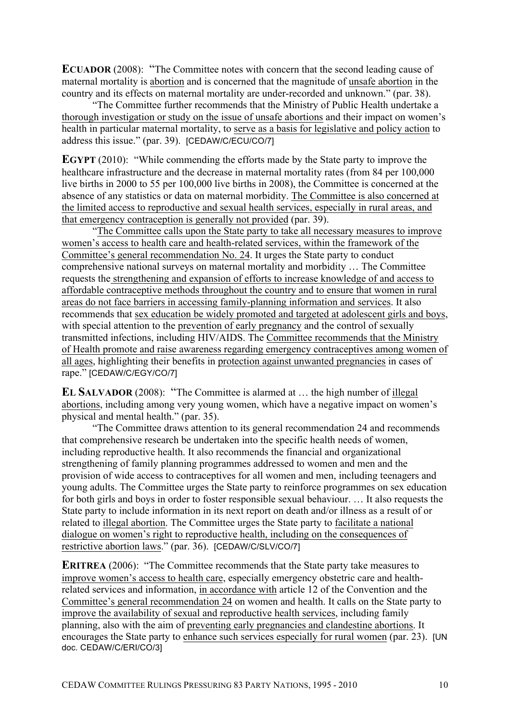**ECUADOR** (2008): "The Committee notes with concern that the second leading cause of maternal mortality is abortion and is concerned that the magnitude of unsafe abortion in the country and its effects on maternal mortality are under-recorded and unknown." (par. 38).

"The Committee further recommends that the Ministry of Public Health undertake a thorough investigation or study on the issue of unsafe abortions and their impact on women's health in particular maternal mortality, to serve as a basis for legislative and policy action to address this issue." (par. 39). [CEDAW/C/ECU/CO/7]

**EGYPT** (2010): "While commending the efforts made by the State party to improve the healthcare infrastructure and the decrease in maternal mortality rates (from 84 per 100,000 live births in 2000 to 55 per 100,000 live births in 2008), the Committee is concerned at the absence of any statistics or data on maternal morbidity. The Committee is also concerned at the limited access to reproductive and sexual health services, especially in rural areas, and that emergency contraception is generally not provided (par. 39).

"The Committee calls upon the State party to take all necessary measures to improve women's access to health care and health-related services, within the framework of the Committee's general recommendation No. 24. It urges the State party to conduct comprehensive national surveys on maternal mortality and morbidity … The Committee requests the strengthening and expansion of efforts to increase knowledge of and access to affordable contraceptive methods throughout the country and to ensure that women in rural areas do not face barriers in accessing family-planning information and services. It also recommends that sex education be widely promoted and targeted at adolescent girls and boys, with special attention to the prevention of early pregnancy and the control of sexually transmitted infections, including HIV/AIDS. The Committee recommends that the Ministry of Health promote and raise awareness regarding emergency contraceptives among women of all ages, highlighting their benefits in protection against unwanted pregnancies in cases of rape." [CEDAW/C/EGY/CO/7]

**EL SALVADOR** (2008): "The Committee is alarmed at ... the high number of illegal abortions, including among very young women, which have a negative impact on women's physical and mental health." (par. 35).

"The Committee draws attention to its general recommendation 24 and recommends that comprehensive research be undertaken into the specific health needs of women, including reproductive health. It also recommends the financial and organizational strengthening of family planning programmes addressed to women and men and the provision of wide access to contraceptives for all women and men, including teenagers and young adults. The Committee urges the State party to reinforce programmes on sex education for both girls and boys in order to foster responsible sexual behaviour. … It also requests the State party to include information in its next report on death and/or illness as a result of or related to illegal abortion. The Committee urges the State party to facilitate a national dialogue on women's right to reproductive health, including on the consequences of restrictive abortion laws." (par. 36). [CEDAW/C/SLV/CO/7]

**ERITREA** (2006): "The Committee recommends that the State party take measures to improve women's access to health care, especially emergency obstetric care and healthrelated services and information, in accordance with article 12 of the Convention and the Committee's general recommendation 24 on women and health. It calls on the State party to improve the availability of sexual and reproductive health services, including family planning, also with the aim of preventing early pregnancies and clandestine abortions. It encourages the State party to enhance such services especially for rural women (par. 23). [UN doc. CEDAW/C/ERI/CO/3]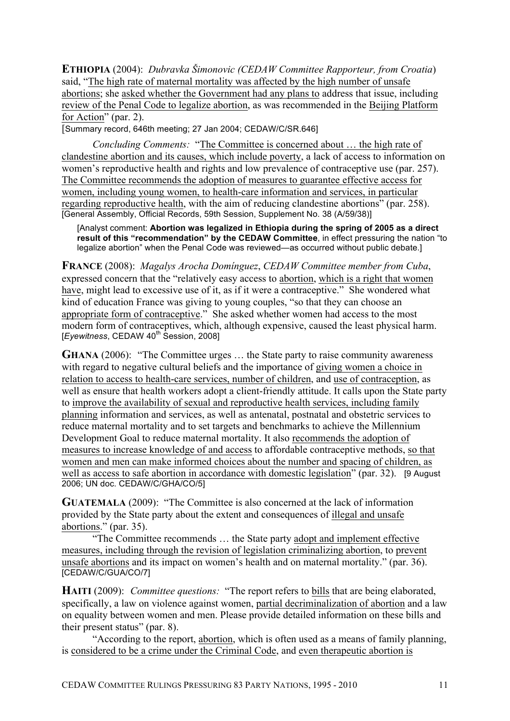**ETHIOPIA** (2004): *Dubravka Šimonovic (CEDAW Committee Rapporteur, from Croatia*) said, "The high rate of maternal mortality was affected by the high number of unsafe abortions; she asked whether the Government had any plans to address that issue, including review of the Penal Code to legalize abortion, as was recommended in the Beijing Platform for Action" (par. 2).

[Summary record, 646th meeting; 27 Jan 2004; CEDAW/C/SR.646]

*Concluding Comments:* "The Committee is concerned about … the high rate of clandestine abortion and its causes, which include poverty, a lack of access to information on women's reproductive health and rights and low prevalence of contraceptive use (par. 257). The Committee recommends the adoption of measures to guarantee effective access for women, including young women, to health-care information and services, in particular regarding reproductive health, with the aim of reducing clandestine abortions" (par. 258). [General Assembly, Official Records, 59th Session, Supplement No. 38 (A/59/38)]

[Analyst comment: **Abortion was legalized in Ethiopia during the spring of 2005 as a direct result of this "recommendation" by the CEDAW Committee**, in effect pressuring the nation "to legalize abortion" when the Penal Code was reviewed—as occurred without public debate.]

**FRANCE** (2008): *Magalys Arocha Domínguez*, *CEDAW Committee member from Cuba*, expressed concern that the "relatively easy access to abortion, which is a right that women have, might lead to excessive use of it, as if it were a contraceptive." She wondered what kind of education France was giving to young couples, "so that they can choose an appropriate form of contraceptive." She asked whether women had access to the most modern form of contraceptives, which, although expensive, caused the least physical harm. [*Eyewitness*, CEDAW 40<sup>th</sup> Session, 2008]

**GHANA** (2006): "The Committee urges ... the State party to raise community awareness with regard to negative cultural beliefs and the importance of giving women a choice in relation to access to health-care services, number of children, and use of contraception, as well as ensure that health workers adopt a client-friendly attitude. It calls upon the State party to improve the availability of sexual and reproductive health services, including family planning information and services, as well as antenatal, postnatal and obstetric services to reduce maternal mortality and to set targets and benchmarks to achieve the Millennium Development Goal to reduce maternal mortality. It also recommends the adoption of measures to increase knowledge of and access to affordable contraceptive methods, so that women and men can make informed choices about the number and spacing of children, as well as access to safe abortion in accordance with domestic legislation" (par. 32). [9 August] 2006; UN doc. CEDAW/C/GHA/CO/5]

**GUATEMALA** (2009):"The Committee is also concerned at the lack of information provided by the State party about the extent and consequences of illegal and unsafe abortions." (par. 35).

"The Committee recommends … the State party adopt and implement effective measures, including through the revision of legislation criminalizing abortion, to prevent unsafe abortions and its impact on women's health and on maternal mortality." (par. 36). [CEDAW/C/GUA/CO/7]

**HAITI** (2009):*Committee questions:*"The report refers to bills that are being elaborated, specifically, a law on violence against women, partial decriminalization of abortion and a law on equality between women and men. Please provide detailed information on these bills and their present status" (par. 8).

"According to the report, abortion, which is often used as a means of family planning, is considered to be a crime under the Criminal Code, and even therapeutic abortion is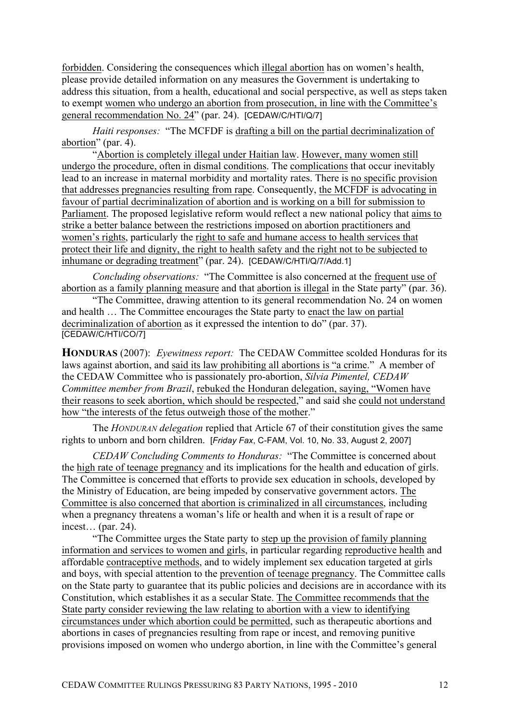forbidden. Considering the consequences which illegal abortion has on women's health, please provide detailed information on any measures the Government is undertaking to address this situation, from a health, educational and social perspective, as well as steps taken to exempt women who undergo an abortion from prosecution, in line with the Committee's general recommendation No. 24" (par. 24). [CEDAW/C/HTI/Q/7]

*Haiti responses:* "The MCFDF is drafting a bill on the partial decriminalization of abortion" (par. 4).

"Abortion is completely illegal under Haitian law. However, many women still undergo the procedure, often in dismal conditions. The complications that occur inevitably lead to an increase in maternal morbidity and mortality rates. There is no specific provision that addresses pregnancies resulting from rape. Consequently, the MCFDF is advocating in favour of partial decriminalization of abortion and is working on a bill for submission to Parliament. The proposed legislative reform would reflect a new national policy that aims to strike a better balance between the restrictions imposed on abortion practitioners and women's rights, particularly the right to safe and humane access to health services that protect their life and dignity, the right to health safety and the right not to be subjected to inhumane or degrading treatment" (par. 24). [CEDAW/C/HTI/Q/7/Add.1]

*Concluding observations:* "The Committee is also concerned at the frequent use of abortion as a family planning measure and that abortion is illegal in the State party" (par. 36).

"The Committee, drawing attention to its general recommendation No. 24 on women and health … The Committee encourages the State party to enact the law on partial decriminalization of abortion as it expressed the intention to do" (par. 37). [CEDAW/C/HTI/CO/7]

**HONDURAS** (2007):*Eyewitness report:* The CEDAW Committee scolded Honduras for its laws against abortion, and said its law prohibiting all abortions is "a crime." A member of the CEDAW Committee who is passionately pro-abortion, *Silvia Pimentel, CEDAW Committee member from Brazil*, rebuked the Honduran delegation, saying, "Women have their reasons to seek abortion, which should be respected," and said she could not understand how "the interests of the fetus outweigh those of the mother."

The *HONDURAN delegation* replied that Article 67 of their constitution gives the same rights to unborn and born children. [*Friday Fax*, C-FAM, Vol. 10, No. 33, August 2, 2007]

*CEDAW Concluding Comments to Honduras:* "The Committee is concerned about the high rate of teenage pregnancy and its implications for the health and education of girls. The Committee is concerned that efforts to provide sex education in schools, developed by the Ministry of Education, are being impeded by conservative government actors. The Committee is also concerned that abortion is criminalized in all circumstances, including when a pregnancy threatens a woman's life or health and when it is a result of rape or incest… (par. 24).

"The Committee urges the State party to step up the provision of family planning information and services to women and girls, in particular regarding reproductive health and affordable contraceptive methods, and to widely implement sex education targeted at girls and boys, with special attention to the prevention of teenage pregnancy. The Committee calls on the State party to guarantee that its public policies and decisions are in accordance with its Constitution, which establishes it as a secular State. The Committee recommends that the State party consider reviewing the law relating to abortion with a view to identifying circumstances under which abortion could be permitted, such as therapeutic abortions and abortions in cases of pregnancies resulting from rape or incest, and removing punitive provisions imposed on women who undergo abortion, in line with the Committee's general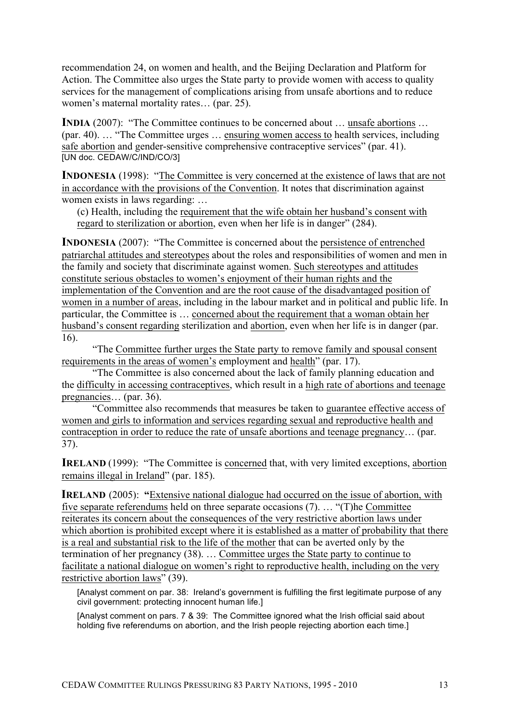recommendation 24, on women and health, and the Beijing Declaration and Platform for Action. The Committee also urges the State party to provide women with access to quality services for the management of complications arising from unsafe abortions and to reduce women's maternal mortality rates… (par. 25).

**INDIA** (2007): "The Committee continues to be concerned about ... unsafe abortions ... (par. 40). … "The Committee urges … ensuring women access to health services, including safe abortion and gender-sensitive comprehensive contraceptive services" (par. 41). [UN doc. CEDAW/C/IND/CO/3]

**INDONESIA** (1998): "The Committee is very concerned at the existence of laws that are not in accordance with the provisions of the Convention. It notes that discrimination against women exists in laws regarding: …

(c) Health, including the requirement that the wife obtain her husband's consent with regard to sterilization or abortion, even when her life is in danger" (284).

**INDONESIA** (2007): "The Committee is concerned about the persistence of entrenched patriarchal attitudes and stereotypes about the roles and responsibilities of women and men in the family and society that discriminate against women. Such stereotypes and attitudes constitute serious obstacles to women's enjoyment of their human rights and the implementation of the Convention and are the root cause of the disadvantaged position of women in a number of areas, including in the labour market and in political and public life. In particular, the Committee is … concerned about the requirement that a woman obtain her husband's consent regarding sterilization and abortion, even when her life is in danger (par. 16).

"The Committee further urges the State party to remove family and spousal consent requirements in the areas of women's employment and health" (par. 17).

"The Committee is also concerned about the lack of family planning education and the difficulty in accessing contraceptives, which result in a high rate of abortions and teenage pregnancies… (par. 36).

"Committee also recommends that measures be taken to guarantee effective access of women and girls to information and services regarding sexual and reproductive health and contraception in order to reduce the rate of unsafe abortions and teenage pregnancy… (par. 37).

**IRELAND** (1999): "The Committee is concerned that, with very limited exceptions, abortion remains illegal in Ireland" (par. 185).

**IRELAND** (2005): "Extensive national dialogue had occurred on the issue of abortion, with five separate referendums held on three separate occasions (7). … "(T)he Committee reiterates its concern about the consequences of the very restrictive abortion laws under which abortion is prohibited except where it is established as a matter of probability that there is a real and substantial risk to the life of the mother that can be averted only by the termination of her pregnancy (38). … Committee urges the State party to continue to facilitate a national dialogue on women's right to reproductive health, including on the very restrictive abortion laws" (39).

[Analyst comment on par. 38: Ireland's government is fulfilling the first legitimate purpose of any civil government: protecting innocent human life.]

[Analyst comment on pars. 7 & 39: The Committee ignored what the Irish official said about holding five referendums on abortion, and the Irish people rejecting abortion each time.]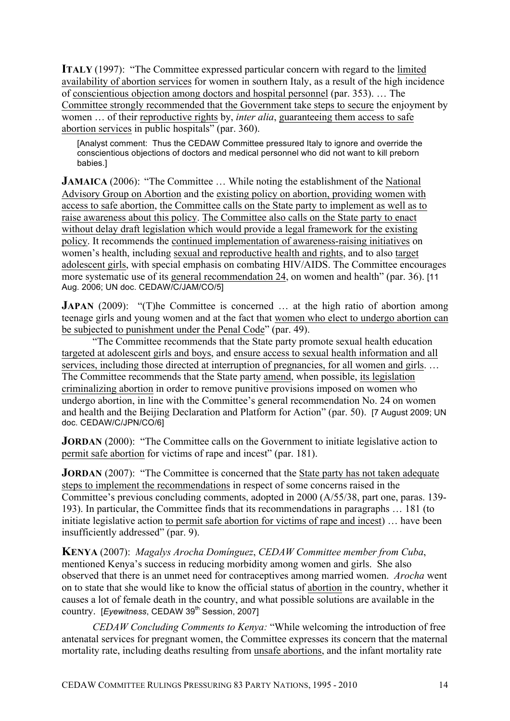**ITALY** (1997): "The Committee expressed particular concern with regard to the limited availability of abortion services for women in southern Italy, as a result of the high incidence of conscientious objection among doctors and hospital personnel (par. 353). … The Committee strongly recommended that the Government take steps to secure the enjoyment by women … of their reproductive rights by, *inter alia*, guaranteeing them access to safe abortion services in public hospitals" (par. 360).

[Analyst comment: Thus the CEDAW Committee pressured Italy to ignore and override the conscientious objections of doctors and medical personnel who did not want to kill preborn babies.]

**JAMAICA** (2006): "The Committee ... While noting the establishment of the National Advisory Group on Abortion and the existing policy on abortion, providing women with access to safe abortion, the Committee calls on the State party to implement as well as to raise awareness about this policy. The Committee also calls on the State party to enact without delay draft legislation which would provide a legal framework for the existing policy. It recommends the continued implementation of awareness-raising initiatives on women's health, including sexual and reproductive health and rights, and to also target adolescent girls, with special emphasis on combating HIV/AIDS. The Committee encourages more systematic use of its general recommendation 24, on women and health" (par. 36). [11] Aug. 2006; UN doc. CEDAW/C/JAM/CO/5]

**JAPAN** (2009): "(T)he Committee is concerned ... at the high ratio of abortion among teenage girls and young women and at the fact that women who elect to undergo abortion can be subjected to punishment under the Penal Code" (par. 49).

"The Committee recommends that the State party promote sexual health education targeted at adolescent girls and boys, and ensure access to sexual health information and all services, including those directed at interruption of pregnancies, for all women and girls. ... The Committee recommends that the State party amend, when possible, its legislation criminalizing abortion in order to remove punitive provisions imposed on women who undergo abortion, in line with the Committee's general recommendation No. 24 on women and health and the Beijing Declaration and Platform for Action" (par. 50). [7 August 2009; UN doc. CEDAW/C/JPN/CO/6]

**JORDAN** (2000): "The Committee calls on the Government to initiate legislative action to permit safe abortion for victims of rape and incest" (par. 181).

**JORDAN** (2007): "The Committee is concerned that the State party has not taken adequate steps to implement the recommendations in respect of some concerns raised in the Committee's previous concluding comments, adopted in 2000 (A/55/38, part one, paras. 139- 193). In particular, the Committee finds that its recommendations in paragraphs … 181 (to initiate legislative action to permit safe abortion for victims of rape and incest) … have been insufficiently addressed" (par. 9).

**KENYA** (2007): *Magalys Arocha Domínguez*, *CEDAW Committee member from Cuba*, mentioned Kenya's success in reducing morbidity among women and girls. She also observed that there is an unmet need for contraceptives among married women. *Arocha* went on to state that she would like to know the official status of abortion in the country, whether it causes a lot of female death in the country, and what possible solutions are available in the country. [*Eyewitness*, CEDAW 39<sup>th</sup> Session, 2007]

*CEDAW Concluding Comments to Kenya:* "While welcoming the introduction of free antenatal services for pregnant women, the Committee expresses its concern that the maternal mortality rate, including deaths resulting from unsafe abortions, and the infant mortality rate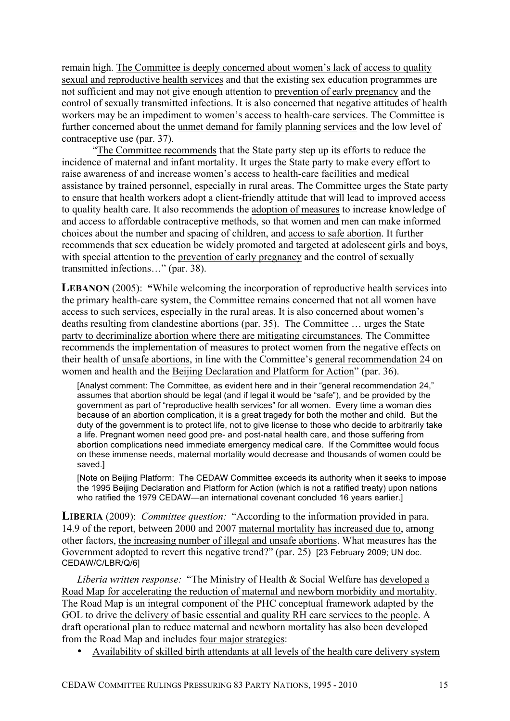remain high. The Committee is deeply concerned about women's lack of access to quality sexual and reproductive health services and that the existing sex education programmes are not sufficient and may not give enough attention to prevention of early pregnancy and the control of sexually transmitted infections. It is also concerned that negative attitudes of health workers may be an impediment to women's access to health-care services. The Committee is further concerned about the unmet demand for family planning services and the low level of contraceptive use (par. 37).

"The Committee recommends that the State party step up its efforts to reduce the incidence of maternal and infant mortality. It urges the State party to make every effort to raise awareness of and increase women's access to health-care facilities and medical assistance by trained personnel, especially in rural areas. The Committee urges the State party to ensure that health workers adopt a client-friendly attitude that will lead to improved access to quality health care. It also recommends the adoption of measures to increase knowledge of and access to affordable contraceptive methods, so that women and men can make informed choices about the number and spacing of children, and access to safe abortion. It further recommends that sex education be widely promoted and targeted at adolescent girls and boys, with special attention to the prevention of early pregnancy and the control of sexually transmitted infections…" (par. 38).

**LEBANON** (2005): **"**While welcoming the incorporation of reproductive health services into the primary health-care system, the Committee remains concerned that not all women have access to such services, especially in the rural areas. It is also concerned about women's deaths resulting from clandestine abortions (par. 35). The Committee … urges the State party to decriminalize abortion where there are mitigating circumstances. The Committee recommends the implementation of measures to protect women from the negative effects on their health of unsafe abortions, in line with the Committee's general recommendation 24 on women and health and the Beijing Declaration and Platform for Action" (par. 36).

[Analyst comment: The Committee, as evident here and in their "general recommendation 24," assumes that abortion should be legal (and if legal it would be "safe"), and be provided by the government as part of "reproductive health services" for all women. Every time a woman dies because of an abortion complication, it is a great tragedy for both the mother and child. But the duty of the government is to protect life, not to give license to those who decide to arbitrarily take a life. Pregnant women need good pre- and post-natal health care, and those suffering from abortion complications need immediate emergency medical care. If the Committee would focus on these immense needs, maternal mortality would decrease and thousands of women could be saved.]

[Note on Beijing Platform: The CEDAW Committee exceeds its authority when it seeks to impose the 1995 Beijing Declaration and Platform for Action (which is not a ratified treaty) upon nations who ratified the 1979 CEDAW—an international covenant concluded 16 years earlier.]

**LIBERIA** (2009): *Committee question:* "According to the information provided in para. 14.9 of the report, between 2000 and 2007 maternal mortality has increased due to, among other factors, the increasing number of illegal and unsafe abortions. What measures has the Government adopted to revert this negative trend?" (par. 25) [23 February 2009; UN doc. CEDAW/C/LBR/Q/6]

*Liberia written response:* "The Ministry of Health & Social Welfare has developed a Road Map for accelerating the reduction of maternal and newborn morbidity and mortality. The Road Map is an integral component of the PHC conceptual framework adapted by the GOL to drive the delivery of basic essential and quality RH care services to the people. A draft operational plan to reduce maternal and newborn mortality has also been developed from the Road Map and includes four major strategies:

• Availability of skilled birth attendants at all levels of the health care delivery system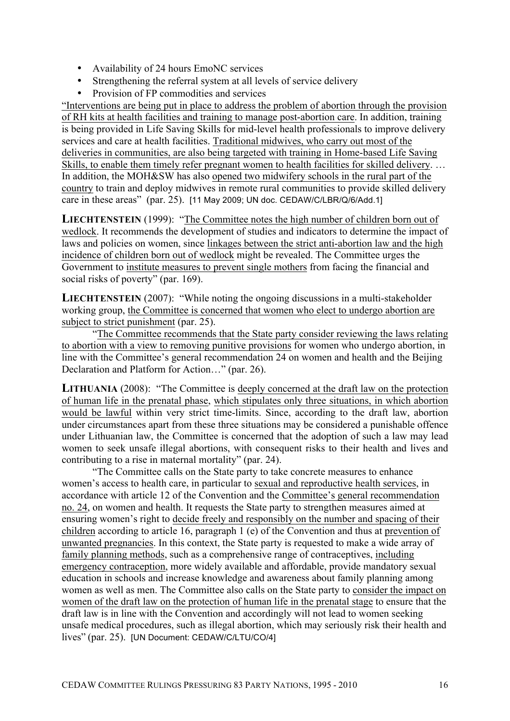- Availability of 24 hours EmoNC services
- Strengthening the referral system at all levels of service delivery
- Provision of FP commodities and services

"Interventions are being put in place to address the problem of abortion through the provision of RH kits at health facilities and training to manage post-abortion care. In addition, training is being provided in Life Saving Skills for mid-level health professionals to improve delivery services and care at health facilities. Traditional midwives, who carry out most of the deliveries in communities, are also being targeted with training in Home-based Life Saving Skills, to enable them timely refer pregnant women to health facilities for skilled delivery. … In addition, the MOH&SW has also opened two midwifery schools in the rural part of the country to train and deploy midwives in remote rural communities to provide skilled delivery care in these areas" (par. 25). [11 May 2009; UN doc. CEDAW/C/LBR/Q/6/Add.1]

**LIECHTENSTEIN** (1999): "The Committee notes the high number of children born out of wedlock. It recommends the development of studies and indicators to determine the impact of laws and policies on women, since linkages between the strict anti-abortion law and the high incidence of children born out of wedlock might be revealed. The Committee urges the Government to institute measures to prevent single mothers from facing the financial and social risks of poverty" (par. 169).

**LIECHTENSTEIN** (2007): "While noting the ongoing discussions in a multi-stakeholder working group, the Committee is concerned that women who elect to undergo abortion are subject to strict punishment (par. 25).

"The Committee recommends that the State party consider reviewing the laws relating to abortion with a view to removing punitive provisions for women who undergo abortion, in line with the Committee's general recommendation 24 on women and health and the Beijing Declaration and Platform for Action…" (par. 26).

**LITHUANIA** (2008): "The Committee is deeply concerned at the draft law on the protection of human life in the prenatal phase, which stipulates only three situations, in which abortion would be lawful within very strict time-limits. Since, according to the draft law, abortion under circumstances apart from these three situations may be considered a punishable offence under Lithuanian law, the Committee is concerned that the adoption of such a law may lead women to seek unsafe illegal abortions, with consequent risks to their health and lives and contributing to a rise in maternal mortality" (par. 24).

"The Committee calls on the State party to take concrete measures to enhance women's access to health care, in particular to sexual and reproductive health services, in accordance with article 12 of the Convention and the Committee's general recommendation no. 24, on women and health. It requests the State party to strengthen measures aimed at ensuring women's right to decide freely and responsibly on the number and spacing of their children according to article 16, paragraph 1 (e) of the Convention and thus at prevention of unwanted pregnancies. In this context, the State party is requested to make a wide array of family planning methods, such as a comprehensive range of contraceptives, including emergency contraception, more widely available and affordable, provide mandatory sexual education in schools and increase knowledge and awareness about family planning among women as well as men. The Committee also calls on the State party to consider the impact on women of the draft law on the protection of human life in the prenatal stage to ensure that the draft law is in line with the Convention and accordingly will not lead to women seeking unsafe medical procedures, such as illegal abortion, which may seriously risk their health and lives" (par. 25). [UN Document: CEDAW/C/LTU/CO/4]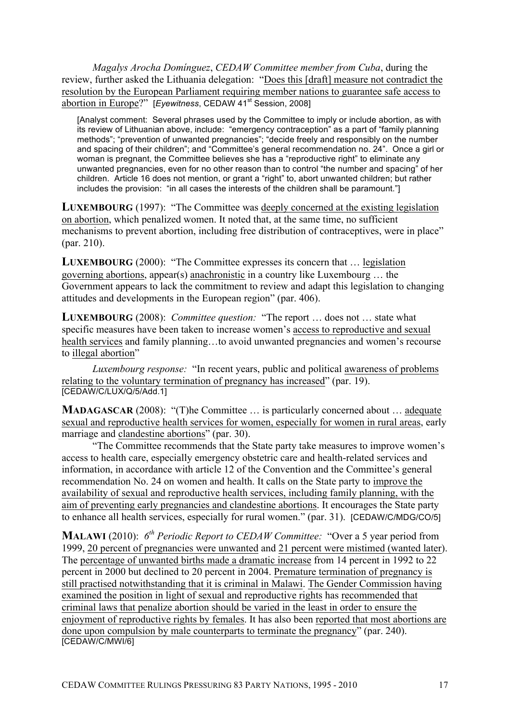*Magalys Arocha Domínguez*, *CEDAW Committee member from Cuba*, during the review, further asked the Lithuania delegation: "Does this [draft] measure not contradict the resolution by the European Parliament requiring member nations to guarantee safe access to abortion in Europe?" [*Eyewitness*, CEDAW 41<sup>st</sup> Session, 2008]

[Analyst comment: Several phrases used by the Committee to imply or include abortion, as with its review of Lithuanian above, include: "emergency contraception" as a part of "family planning methods"; "prevention of unwanted pregnancies"; "decide freely and responsibly on the number and spacing of their children"; and "Committee's general recommendation no. 24". Once a girl or woman is pregnant, the Committee believes she has a "reproductive right" to eliminate any unwanted pregnancies, even for no other reason than to control "the number and spacing" of her children. Article 16 does not mention, or grant a "right" to, abort unwanted children; but rather includes the provision: "in all cases the interests of the children shall be paramount."]

**LUXEMBOURG** (1997): "The Committee was deeply concerned at the existing legislation on abortion, which penalized women. It noted that, at the same time, no sufficient mechanisms to prevent abortion, including free distribution of contraceptives, were in place" (par. 210).

**LUXEMBOURG** (2000): "The Committee expresses its concern that … legislation governing abortions, appear(s) anachronistic in a country like Luxembourg … the Government appears to lack the commitment to review and adapt this legislation to changing attitudes and developments in the European region" (par. 406).

**LUXEMBOURG** (2008): *Committee question:* "The report … does not … state what specific measures have been taken to increase women's access to reproductive and sexual health services and family planning...to avoid unwanted pregnancies and women's recourse to illegal abortion"

*Luxembourg response:* "In recent years, public and political awareness of problems relating to the voluntary termination of pregnancy has increased" (par. 19). [CEDAW/C/LUX/Q/5/Add.1]

**MADAGASCAR** (2008): "(T)he Committee ... is particularly concerned about ... adequate sexual and reproductive health services for women, especially for women in rural areas, early marriage and clandestine abortions" (par. 30).

"The Committee recommends that the State party take measures to improve women's access to health care, especially emergency obstetric care and health-related services and information, in accordance with article 12 of the Convention and the Committee's general recommendation No. 24 on women and health. It calls on the State party to improve the availability of sexual and reproductive health services, including family planning, with the aim of preventing early pregnancies and clandestine abortions. It encourages the State party to enhance all health services, especially for rural women." (par. 31). [CEDAW/C/MDG/CO/5]

**MALAWI** (2010): *6th Periodic Report to CEDAW Committee:* "Over a 5 year period from 1999, 20 percent of pregnancies were unwanted and 21 percent were mistimed (wanted later). The percentage of unwanted births made a dramatic increase from 14 percent in 1992 to 22 percent in 2000 but declined to 20 percent in 2004. Premature termination of pregnancy is still practised notwithstanding that it is criminal in Malawi. The Gender Commission having examined the position in light of sexual and reproductive rights has recommended that criminal laws that penalize abortion should be varied in the least in order to ensure the enjoyment of reproductive rights by females. It has also been reported that most abortions are done upon compulsion by male counterparts to terminate the pregnancy" (par. 240). [CEDAW/C/MWI/6]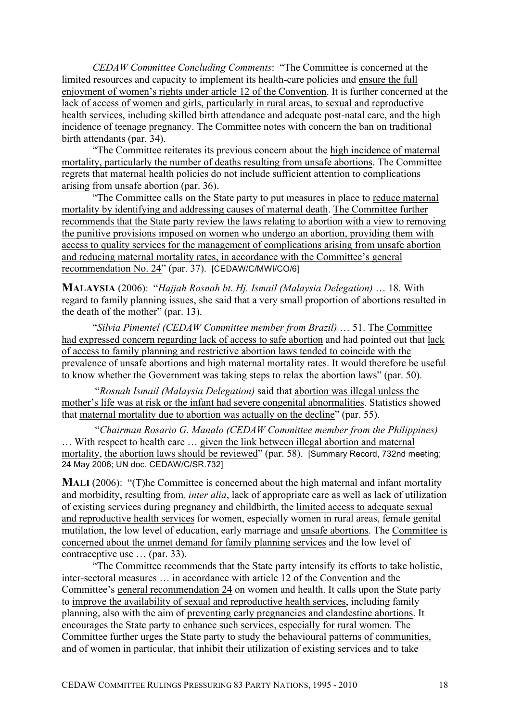*CEDAW Committee Concluding Comments*: "The Committee is concerned at the limited resources and capacity to implement its health-care policies and ensure the full enjoyment of women's rights under article 12 of the Convention. It is further concerned at the lack of access of women and girls, particularly in rural areas, to sexual and reproductive health services, including skilled birth attendance and adequate post-natal care, and the high incidence of teenage pregnancy. The Committee notes with concern the ban on traditional birth attendants (par. 34).

"The Committee reiterates its previous concern about the high incidence of maternal mortality, particularly the number of deaths resulting from unsafe abortions. The Committee regrets that maternal health policies do not include sufficient attention to complications arising from unsafe abortion (par. 36).

"The Committee calls on the State party to put measures in place to reduce maternal mortality by identifying and addressing causes of maternal death. The Committee further recommends that the State party review the laws relating to abortion with a view to removing the punitive provisions imposed on women who undergo an abortion, providing them with access to quality services for the management of complications arising from unsafe abortion and reducing maternal mortality rates, in accordance with the Committee's general recommendation No. 24" (par. 37). [CEDAW/C/MWI/CO/6]

**MALAYSIA** (2006): "*Hajjah Rosnah bt. Hj. Ismail (Malaysia Delegation)* … 18. With regard to family planning issues, she said that a very small proportion of abortions resulted in the death of the mother" (par. 13).

"*Silvia Pimentel (CEDAW Committee member from Brazil)* … 51. The Committee had expressed concern regarding lack of access to safe abortion and had pointed out that lack of access to family planning and restrictive abortion laws tended to coincide with the prevalence of unsafe abortions and high maternal mortality rates. It would therefore be useful to know whether the Government was taking steps to relax the abortion laws" (par. 50).

"*Rosnah Ismail (Malaysia Delegation)* said that abortion was illegal unless the mother's life was at risk or the infant had severe congenital abnormalities. Statistics showed that maternal mortality due to abortion was actually on the decline"  $(par. 55)$ .

"*Chairman Rosario G. Manalo (CEDAW Committee member from the Philippines)* … With respect to health care … given the link between illegal abortion and maternal mortality, the abortion laws should be reviewed" (par. 58). [Summary Record, 732nd meeting; 24 May 2006; UN doc. CEDAW/C/SR.732]

**MALI** (2006): "(T)he Committee is concerned about the high maternal and infant mortality and morbidity, resulting from*, inter alia*, lack of appropriate care as well as lack of utilization of existing services during pregnancy and childbirth, the limited access to adequate sexual and reproductive health services for women, especially women in rural areas, female genital mutilation, the low level of education, early marriage and unsafe abortions. The Committee is concerned about the unmet demand for family planning services and the low level of contraceptive use … (par. 33).

"The Committee recommends that the State party intensify its efforts to take holistic, inter-sectoral measures … in accordance with article 12 of the Convention and the Committee's general recommendation 24 on women and health. It calls upon the State party to improve the availability of sexual and reproductive health services, including family planning, also with the aim of preventing early pregnancies and clandestine abortions. It encourages the State party to enhance such services, especially for rural women. The Committee further urges the State party to study the behavioural patterns of communities, and of women in particular, that inhibit their utilization of existing services and to take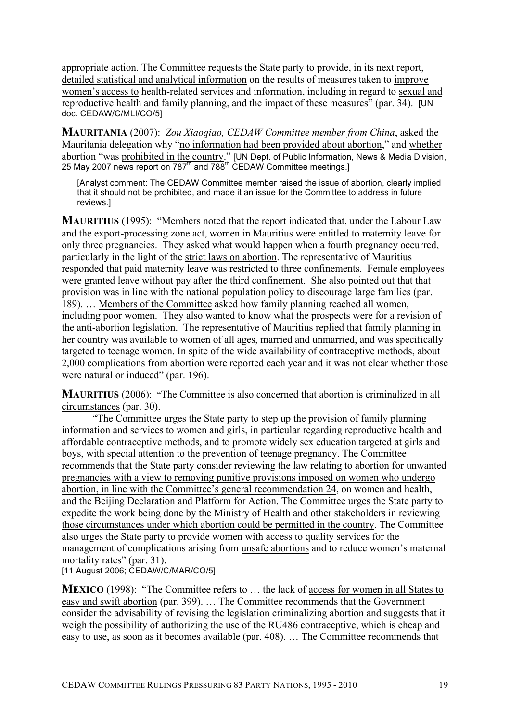appropriate action. The Committee requests the State party to provide, in its next report, detailed statistical and analytical information on the results of measures taken to improve women's access to health-related services and information, including in regard to sexual and reproductive health and family planning, and the impact of these measures" (par. 34). [UN doc. CEDAW/C/MLI/CO/5]

**MAURITANIA** (2007): *Zou Xiaoqiao, CEDAW Committee member from China*, asked the Mauritania delegation why "no information had been provided about abortion," and whether abortion "was prohibited in the country." [UN Dept. of Public Information, News & Media Division, 25 May 2007 news report on 787<sup>th</sup> and 788<sup>th</sup> CEDAW Committee meetings.]

[Analyst comment: The CEDAW Committee member raised the issue of abortion, clearly implied that it should not be prohibited, and made it an issue for the Committee to address in future reviews.]

**MAURITIUS** (1995): "Members noted that the report indicated that, under the Labour Law and the export-processing zone act, women in Mauritius were entitled to maternity leave for only three pregnancies. They asked what would happen when a fourth pregnancy occurred, particularly in the light of the strict laws on abortion. The representative of Mauritius responded that paid maternity leave was restricted to three confinements. Female employees were granted leave without pay after the third confinement. She also pointed out that that provision was in line with the national population policy to discourage large families (par. 189). … Members of the Committee asked how family planning reached all women, including poor women. They also wanted to know what the prospects were for a revision of the anti-abortion legislation. The representative of Mauritius replied that family planning in her country was available to women of all ages, married and unmarried, and was specifically targeted to teenage women. In spite of the wide availability of contraceptive methods, about 2,000 complications from abortion were reported each year and it was not clear whether those were natural or induced" (par. 196).

**MAURITIUS** (2006): "The Committee is also concerned that abortion is criminalized in all circumstances (par. 30).

"The Committee urges the State party to step up the provision of family planning information and services to women and girls, in particular regarding reproductive health and affordable contraceptive methods, and to promote widely sex education targeted at girls and boys, with special attention to the prevention of teenage pregnancy. The Committee recommends that the State party consider reviewing the law relating to abortion for unwanted pregnancies with a view to removing punitive provisions imposed on women who undergo abortion, in line with the Committee's general recommendation 24, on women and health, and the Beijing Declaration and Platform for Action. The Committee urges the State party to expedite the work being done by the Ministry of Health and other stakeholders in reviewing those circumstances under which abortion could be permitted in the country. The Committee also urges the State party to provide women with access to quality services for the management of complications arising from unsafe abortions and to reduce women's maternal mortality rates" (par. 31).

[11 August 2006; CEDAW/C/MAR/CO/5]

**MEXICO** (1998): "The Committee refers to ... the lack of access for women in all States to easy and swift abortion (par. 399). … The Committee recommends that the Government consider the advisability of revising the legislation criminalizing abortion and suggests that it weigh the possibility of authorizing the use of the RU486 contraceptive, which is cheap and easy to use, as soon as it becomes available (par. 408). … The Committee recommends that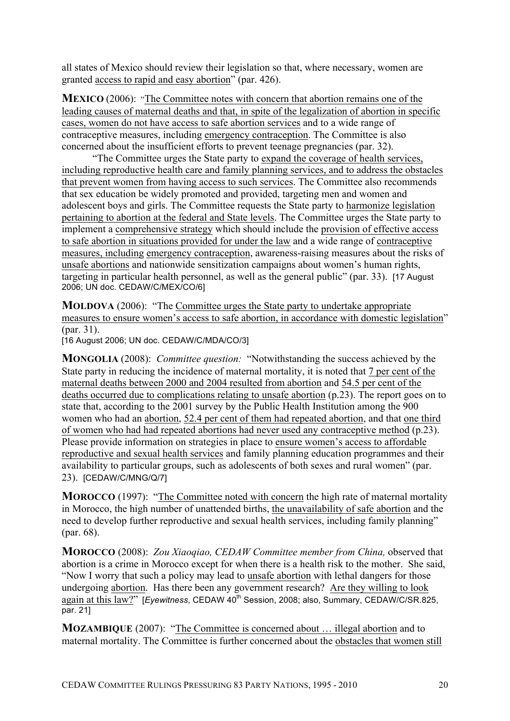all states of Mexico should review their legislation so that, where necessary, women are granted access to rapid and easy abortion" (par. 426).

**MEXICO** (2006): "The Committee notes with concern that abortion remains one of the leading causes of maternal deaths and that, in spite of the legalization of abortion in specific cases, women do not have access to safe abortion services and to a wide range of contraceptive measures, including emergency contraception. The Committee is also concerned about the insufficient efforts to prevent teenage pregnancies (par. 32).

"The Committee urges the State party to expand the coverage of health services, including reproductive health care and family planning services, and to address the obstacles that prevent women from having access to such services. The Committee also recommends that sex education be widely promoted and provided, targeting men and women and adolescent boys and girls. The Committee requests the State party to harmonize legislation pertaining to abortion at the federal and State levels. The Committee urges the State party to implement a comprehensive strategy which should include the provision of effective access to safe abortion in situations provided for under the law and a wide range of contraceptive measures, including emergency contraception, awareness-raising measures about the risks of unsafe abortions and nationwide sensitization campaigns about women's human rights, targeting in particular health personnel, as well as the general public" (par. 33). [17 August 2006; UN doc. CEDAW/C/MEX/CO/6]

**MOLDOVA** (2006): "The Committee urges the State party to undertake appropriate measures to ensure women's access to safe abortion, in accordance with domestic legislation" (par. 31).

[16 August 2006; UN doc. CEDAW/C/MDA/CO/3]

**MONGOLIA** (2008): *Committee question:* "Notwithstanding the success achieved by the State party in reducing the incidence of maternal mortality, it is noted that 7 per cent of the maternal deaths between 2000 and 2004 resulted from abortion and 54.5 per cent of the deaths occurred due to complications relating to unsafe abortion (p.23). The report goes on to state that, according to the 2001 survey by the Public Health Institution among the 900 women who had an abortion, 52.4 per cent of them had repeated abortion, and that one third of women who had had repeated abortions had never used any contraceptive method (p.23). Please provide information on strategies in place to ensure women's access to affordable reproductive and sexual health services and family planning education programmes and their availability to particular groups, such as adolescents of both sexes and rural women" (par. 23). [CEDAW/C/MNG/Q/7]

**MOROCCO** (1997): "The Committee noted with concern the high rate of maternal mortality in Morocco, the high number of unattended births, the unavailability of safe abortion and the need to develop further reproductive and sexual health services, including family planning" (par. 68).

**MOROCCO** (2008): *Zou Xiaoqiao, CEDAW Committee member from China,* observed that abortion is a crime in Morocco except for when there is a health risk to the mother. She said, "Now I worry that such a policy may lead to unsafe abortion with lethal dangers for those undergoing abortion. Has there been any government research? Are they willing to look again at this law?" [*Eyewitness*, CEDAW 40<sup>th</sup> Session, 2008; also, Summary, CEDAW/C/SR.825, par. 21]

**MOZAMBIQUE** (2007): "The Committee is concerned about ... illegal abortion and to maternal mortality. The Committee is further concerned about the obstacles that women still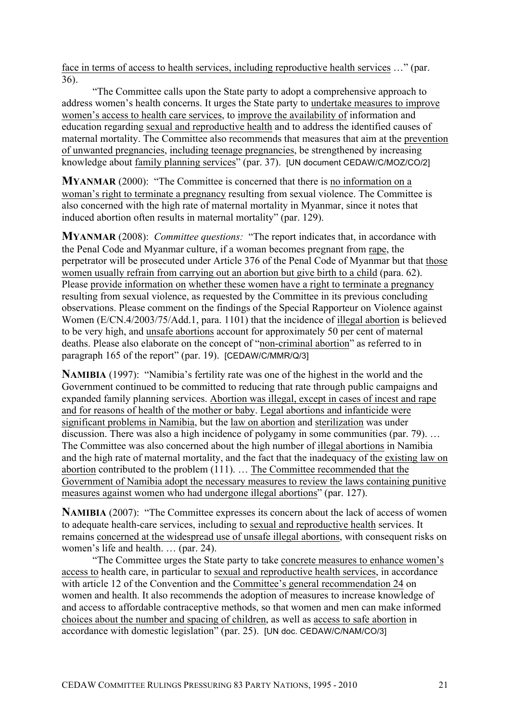face in terms of access to health services, including reproductive health services …" (par. 36).

"The Committee calls upon the State party to adopt a comprehensive approach to address women's health concerns. It urges the State party to undertake measures to improve women's access to health care services, to improve the availability of information and education regarding sexual and reproductive health and to address the identified causes of maternal mortality. The Committee also recommends that measures that aim at the prevention of unwanted pregnancies, including teenage pregnancies, be strengthened by increasing knowledge about family planning services" (par. 37). [UN document CEDAW/C/MOZ/CO/2]

**MYANMAR** (2000): "The Committee is concerned that there is no information on a woman's right to terminate a pregnancy resulting from sexual violence. The Committee is also concerned with the high rate of maternal mortality in Myanmar, since it notes that induced abortion often results in maternal mortality" (par. 129).

**MYANMAR** (2008): *Committee questions:* "The report indicates that, in accordance with the Penal Code and Myanmar culture, if a woman becomes pregnant from rape, the perpetrator will be prosecuted under Article 376 of the Penal Code of Myanmar but that those women usually refrain from carrying out an abortion but give birth to a child (para. 62). Please provide information on whether these women have a right to terminate a pregnancy resulting from sexual violence, as requested by the Committee in its previous concluding observations. Please comment on the findings of the Special Rapporteur on Violence against Women (E/CN.4/2003/75/Add.1, para. 1101) that the incidence of illegal abortion is believed to be very high, and unsafe abortions account for approximately 50 per cent of maternal deaths. Please also elaborate on the concept of "non-criminal abortion" as referred to in paragraph 165 of the report" (par. 19). [CEDAW/C/MMR/Q/3]

**NAMIBIA** (1997): "Namibia's fertility rate was one of the highest in the world and the Government continued to be committed to reducing that rate through public campaigns and expanded family planning services. Abortion was illegal, except in cases of incest and rape and for reasons of health of the mother or baby. Legal abortions and infanticide were significant problems in Namibia, but the law on abortion and sterilization was under discussion. There was also a high incidence of polygamy in some communities (par. 79). … The Committee was also concerned about the high number of illegal abortions in Namibia and the high rate of maternal mortality, and the fact that the inadequacy of the existing law on abortion contributed to the problem (111). … The Committee recommended that the Government of Namibia adopt the necessary measures to review the laws containing punitive measures against women who had undergone illegal abortions" (par. 127).

**NAMIBIA** (2007): "The Committee expresses its concern about the lack of access of women to adequate health-care services, including to sexual and reproductive health services. It remains concerned at the widespread use of unsafe illegal abortions, with consequent risks on women's life and health. … (par. 24).

"The Committee urges the State party to take concrete measures to enhance women's access to health care, in particular to sexual and reproductive health services, in accordance with article 12 of the Convention and the Committee's general recommendation 24 on women and health. It also recommends the adoption of measures to increase knowledge of and access to affordable contraceptive methods, so that women and men can make informed choices about the number and spacing of children, as well as access to safe abortion in accordance with domestic legislation" (par. 25). [UN doc. CEDAW/C/NAM/CO/3]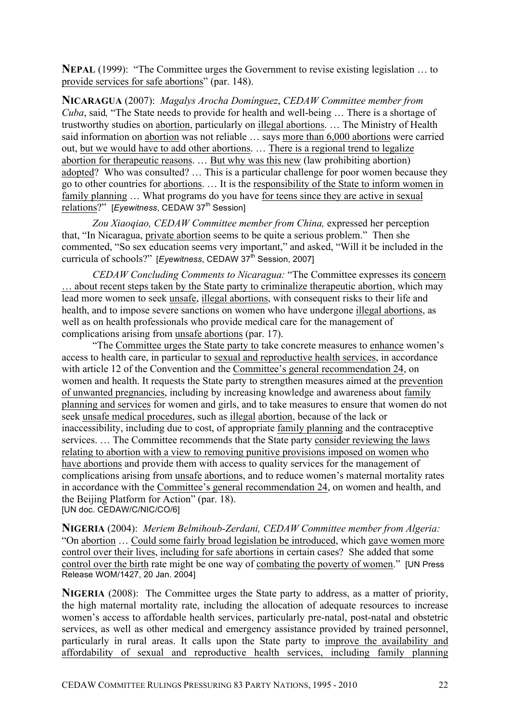**NEPAL** (1999): "The Committee urges the Government to revise existing legislation ... to provide services for safe abortions" (par. 148).

**NICARAGUA** (2007): *Magalys Arocha Domínguez*, *CEDAW Committee member from Cuba*, said*,* "The State needs to provide for health and well-being … There is a shortage of trustworthy studies on abortion, particularly on illegal abortions. … The Ministry of Health said information on abortion was not reliable … says more than 6,000 abortions were carried out, but we would have to add other abortions. … There is a regional trend to legalize abortion for therapeutic reasons. … But why was this new (law prohibiting abortion) adopted? Who was consulted? … This is a particular challenge for poor women because they go to other countries for abortions. … It is the responsibility of the State to inform women in family planning … What programs do you have for teens since they are active in sexual relations?" [*Eyewitness*, CEDAW 37<sup>th</sup> Session]

*Zou Xiaoqiao, CEDAW Committee member from China,* expressed her perception that, "In Nicaragua, private abortion seems to be quite a serious problem." Then she commented, "So sex education seems very important," and asked, "Will it be included in the curricula of schools?" *[Eyewitness, CEDAW 37<sup>th</sup> Session, 2007]* 

*CEDAW Concluding Comments to Nicaragua:* "The Committee expresses its concern … about recent steps taken by the State party to criminalize therapeutic abortion, which may lead more women to seek unsafe, illegal abortions, with consequent risks to their life and health, and to impose severe sanctions on women who have undergone illegal abortions, as well as on health professionals who provide medical care for the management of complications arising from unsafe abortions (par. 17).

"The Committee urges the State party to take concrete measures to enhance women's access to health care, in particular to sexual and reproductive health services, in accordance with article 12 of the Convention and the Committee's general recommendation 24, on women and health. It requests the State party to strengthen measures aimed at the prevention of unwanted pregnancies, including by increasing knowledge and awareness about family planning and services for women and girls, and to take measures to ensure that women do not seek unsafe medical procedures, such as illegal abortion, because of the lack or inaccessibility, including due to cost, of appropriate family planning and the contraceptive services. … The Committee recommends that the State party consider reviewing the laws relating to abortion with a view to removing punitive provisions imposed on women who have abortions and provide them with access to quality services for the management of complications arising from unsafe abortions, and to reduce women's maternal mortality rates in accordance with the Committee's general recommendation 24, on women and health, and the Beijing Platform for Action" (par. 18). [UN doc. CEDAW/C/NIC/CO/6]

**NIGERIA** (2004): *Meriem Belmihoub-Zerdani, CEDAW Committee member from Algeria:* "On abortion … Could some fairly broad legislation be introduced, which gave women more control over their lives, including for safe abortions in certain cases? She added that some control over the birth rate might be one way of combating the poverty of women." [UN Press Release WOM/1427, 20 Jan. 2004]

**NIGERIA** (2008): The Committee urges the State party to address, as a matter of priority, the high maternal mortality rate, including the allocation of adequate resources to increase women's access to affordable health services, particularly pre-natal, post-natal and obstetric services, as well as other medical and emergency assistance provided by trained personnel, particularly in rural areas. It calls upon the State party to improve the availability and affordability of sexual and reproductive health services, including family planning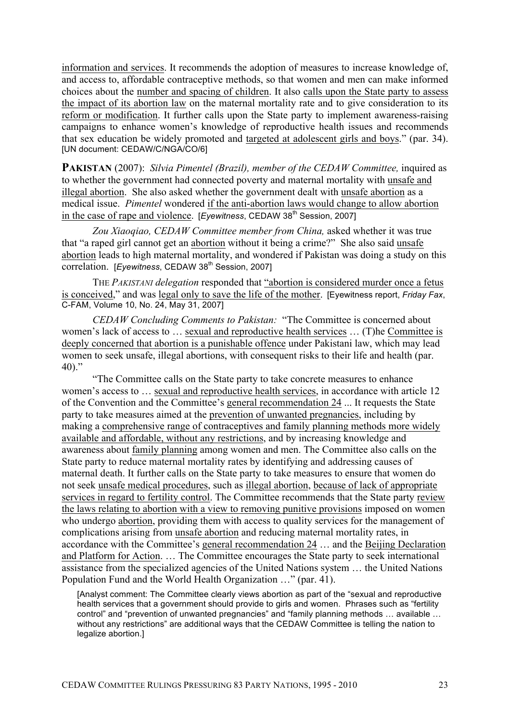information and services. It recommends the adoption of measures to increase knowledge of, and access to, affordable contraceptive methods, so that women and men can make informed choices about the number and spacing of children. It also calls upon the State party to assess the impact of its abortion law on the maternal mortality rate and to give consideration to its reform or modification. It further calls upon the State party to implement awareness-raising campaigns to enhance women's knowledge of reproductive health issues and recommends that sex education be widely promoted and targeted at adolescent girls and boys." (par. 34). [UN document: CEDAW/C/NGA/CO/6]

**PAKISTAN** (2007): *Silvia Pimentel (Brazil), member of the CEDAW Committee,* inquired as to whether the government had connected poverty and maternal mortality with unsafe and illegal abortion. She also asked whether the government dealt with unsafe abortion as a medical issue. *Pimentel* wondered if the anti-abortion laws would change to allow abortion in the case of rape and violence. [*Eyewitness*, CEDAW 38<sup>th</sup> Session, 2007]

*Zou Xiaoqiao, CEDAW Committee member from China,* asked whether it was true that "a raped girl cannot get an abortion without it being a crime?" She also said unsafe abortion leads to high maternal mortality, and wondered if Pakistan was doing a study on this correlation. [*Eyewitness*, CEDAW 38<sup>th</sup> Session, 2007]

THE *PAKISTANI delegation* responded that "abortion is considered murder once a fetus is conceived," and was legal only to save the life of the mother. [Eyewitness report, *Friday Fax*, C-FAM, Volume 10, No. 24, May 31, 2007]

*CEDAW Concluding Comments to Pakistan:* "The Committee is concerned about women's lack of access to … sexual and reproductive health services … (T)he Committee is deeply concerned that abortion is a punishable offence under Pakistani law, which may lead women to seek unsafe, illegal abortions, with consequent risks to their life and health (par.  $40$ )."

"The Committee calls on the State party to take concrete measures to enhance women's access to … sexual and reproductive health services, in accordance with article 12 of the Convention and the Committee's general recommendation 24 ... It requests the State party to take measures aimed at the prevention of unwanted pregnancies, including by making a comprehensive range of contraceptives and family planning methods more widely available and affordable, without any restrictions, and by increasing knowledge and awareness about family planning among women and men. The Committee also calls on the State party to reduce maternal mortality rates by identifying and addressing causes of maternal death. It further calls on the State party to take measures to ensure that women do not seek unsafe medical procedures, such as illegal abortion, because of lack of appropriate services in regard to fertility control. The Committee recommends that the State party review the laws relating to abortion with a view to removing punitive provisions imposed on women who undergo abortion, providing them with access to quality services for the management of complications arising from unsafe abortion and reducing maternal mortality rates, in accordance with the Committee's general recommendation 24 … and the Beijing Declaration and Platform for Action. … The Committee encourages the State party to seek international assistance from the specialized agencies of the United Nations system … the United Nations Population Fund and the World Health Organization …" (par. 41).

[Analyst comment: The Committee clearly views abortion as part of the "sexual and reproductive health services that a government should provide to girls and women. Phrases such as "fertility control" and "prevention of unwanted pregnancies" and "family planning methods … available … without any restrictions" are additional ways that the CEDAW Committee is telling the nation to legalize abortion.]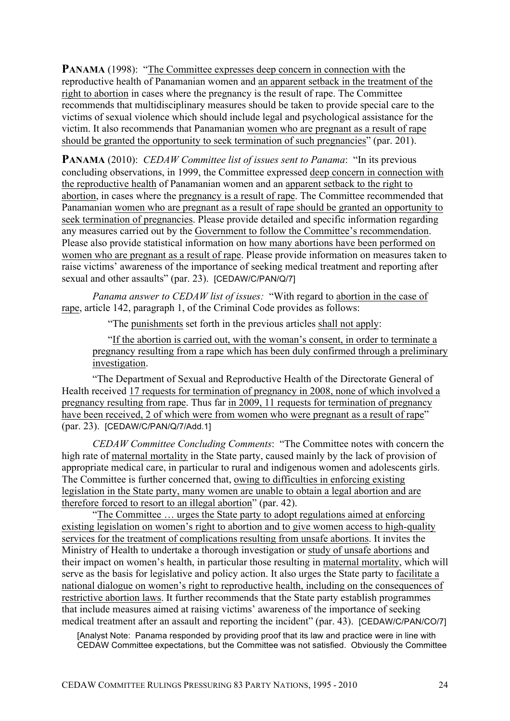**PANAMA** (1998): "The Committee expresses deep concern in connection with the reproductive health of Panamanian women and an apparent setback in the treatment of the right to abortion in cases where the pregnancy is the result of rape. The Committee recommends that multidisciplinary measures should be taken to provide special care to the victims of sexual violence which should include legal and psychological assistance for the victim. It also recommends that Panamanian women who are pregnant as a result of rape should be granted the opportunity to seek termination of such pregnancies" (par. 201).

**PANAMA** (2010): *CEDAW Committee list of issues sent to Panama*: "In its previous concluding observations, in 1999, the Committee expressed deep concern in connection with the reproductive health of Panamanian women and an apparent setback to the right to abortion, in cases where the pregnancy is a result of rape. The Committee recommended that Panamanian women who are pregnant as a result of rape should be granted an opportunity to seek termination of pregnancies. Please provide detailed and specific information regarding any measures carried out by the Government to follow the Committee's recommendation. Please also provide statistical information on how many abortions have been performed on women who are pregnant as a result of rape. Please provide information on measures taken to raise victims' awareness of the importance of seeking medical treatment and reporting after sexual and other assaults" (par. 23). [CEDAW/C/PAN/Q/7]

*Panama answer to CEDAW list of issues:* "With regard to abortion in the case of rape, article 142, paragraph 1, of the Criminal Code provides as follows:

"The punishments set forth in the previous articles shall not apply:

"If the abortion is carried out, with the woman's consent, in order to terminate a pregnancy resulting from a rape which has been duly confirmed through a preliminary investigation.

"The Department of Sexual and Reproductive Health of the Directorate General of Health received 17 requests for termination of pregnancy in 2008, none of which involved a pregnancy resulting from rape. Thus far in 2009, 11 requests for termination of pregnancy have been received, 2 of which were from women who were pregnant as a result of rape" (par. 23). [CEDAW/C/PAN/Q/7/Add.1]

*CEDAW Committee Concluding Comments*: "The Committee notes with concern the high rate of maternal mortality in the State party, caused mainly by the lack of provision of appropriate medical care, in particular to rural and indigenous women and adolescents girls. The Committee is further concerned that, owing to difficulties in enforcing existing legislation in the State party, many women are unable to obtain a legal abortion and are therefore forced to resort to an illegal abortion" (par. 42).

"The Committee … urges the State party to adopt regulations aimed at enforcing existing legislation on women's right to abortion and to give women access to high-quality services for the treatment of complications resulting from unsafe abortions. It invites the Ministry of Health to undertake a thorough investigation or study of unsafe abortions and their impact on women's health, in particular those resulting in maternal mortality, which will serve as the basis for legislative and policy action. It also urges the State party to facilitate a national dialogue on women's right to reproductive health, including on the consequences of restrictive abortion laws. It further recommends that the State party establish programmes that include measures aimed at raising victims' awareness of the importance of seeking medical treatment after an assault and reporting the incident" (par. 43). [CEDAW/C/PAN/CO/7]

[Analyst Note: Panama responded by providing proof that its law and practice were in line with CEDAW Committee expectations, but the Committee was not satisfied. Obviously the Committee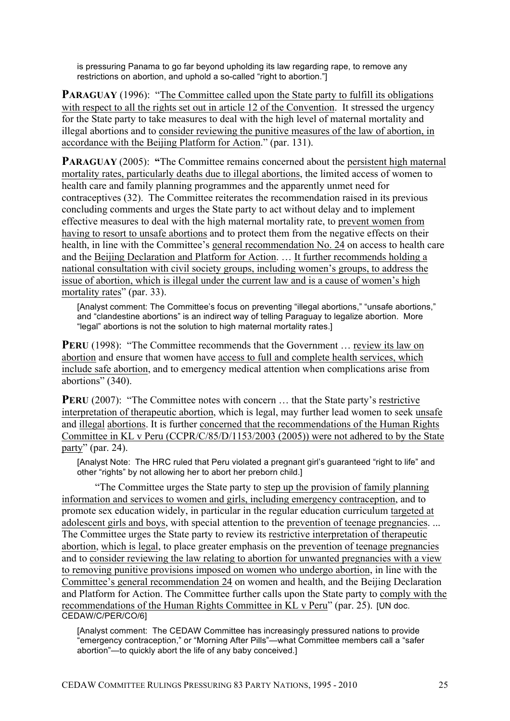is pressuring Panama to go far beyond upholding its law regarding rape, to remove any restrictions on abortion, and uphold a so-called "right to abortion."]

**PARAGUAY** (1996): "The Committee called upon the State party to fulfill its obligations with respect to all the rights set out in article 12 of the Convention. It stressed the urgency for the State party to take measures to deal with the high level of maternal mortality and illegal abortions and to consider reviewing the punitive measures of the law of abortion, in accordance with the Beijing Platform for Action." (par. 131).

**PARAGUAY** (2005): "The Committee remains concerned about the persistent high maternal mortality rates, particularly deaths due to illegal abortions, the limited access of women to health care and family planning programmes and the apparently unmet need for contraceptives (32). The Committee reiterates the recommendation raised in its previous concluding comments and urges the State party to act without delay and to implement effective measures to deal with the high maternal mortality rate, to prevent women from having to resort to unsafe abortions and to protect them from the negative effects on their health, in line with the Committee's general recommendation No. 24 on access to health care and the Beijing Declaration and Platform for Action. … It further recommends holding a national consultation with civil society groups, including women's groups, to address the issue of abortion, which is illegal under the current law and is a cause of women's high mortality rates" (par. 33).

[Analyst comment: The Committee's focus on preventing "illegal abortions," "unsafe abortions," and "clandestine abortions" is an indirect way of telling Paraguay to legalize abortion. More "legal" abortions is not the solution to high maternal mortality rates.]

**PERU** (1998): "The Committee recommends that the Government ... review its law on abortion and ensure that women have access to full and complete health services, which include safe abortion, and to emergency medical attention when complications arise from abortions" (340).

**PERU** (2007): "The Committee notes with concern ... that the State party's restrictive interpretation of therapeutic abortion, which is legal, may further lead women to seek unsafe and illegal abortions. It is further concerned that the recommendations of the Human Rights Committee in KL v Peru (CCPR/C/85/D/1153/2003 (2005)) were not adhered to by the State party" (par. 24).

[Analyst Note: The HRC ruled that Peru violated a pregnant girl's guaranteed "right to life" and other "rights" by not allowing her to abort her preborn child.]

"The Committee urges the State party to step up the provision of family planning information and services to women and girls, including emergency contraception, and to promote sex education widely, in particular in the regular education curriculum targeted at adolescent girls and boys, with special attention to the prevention of teenage pregnancies. ... The Committee urges the State party to review its restrictive interpretation of therapeutic abortion, which is legal, to place greater emphasis on the prevention of teenage pregnancies and to consider reviewing the law relating to abortion for unwanted pregnancies with a view to removing punitive provisions imposed on women who undergo abortion, in line with the Committee's general recommendation 24 on women and health, and the Beijing Declaration and Platform for Action. The Committee further calls upon the State party to comply with the recommendations of the Human Rights Committee in KL v Peru" (par. 25). **[UN doc.** CEDAW/C/PER/CO/6]

[Analyst comment: The CEDAW Committee has increasingly pressured nations to provide "emergency contraception," or "Morning After Pills"—what Committee members call a "safer abortion"—to quickly abort the life of any baby conceived.]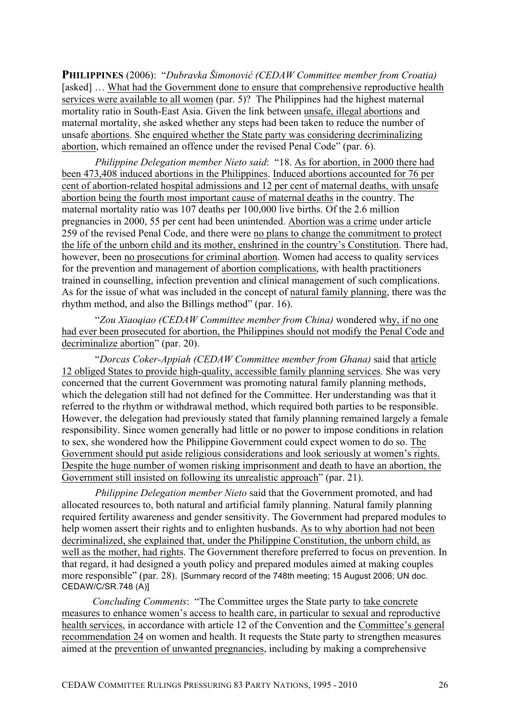**PHILIPPINES** (2006): "*Dubravka Šimonović (CEDAW Committee member from Croatia)* [asked] ... What had the Government done to ensure that comprehensive reproductive health services were available to all women (par. 5)? The Philippines had the highest maternal mortality ratio in South-East Asia. Given the link between unsafe, illegal abortions and maternal mortality, she asked whether any steps had been taken to reduce the number of unsafe abortions. She enquired whether the State party was considering decriminalizing abortion, which remained an offence under the revised Penal Code" (par. 6).

*Philippine Delegation member Nieto said*: "18. As for abortion, in 2000 there had been 473,408 induced abortions in the Philippines. Induced abortions accounted for 76 per cent of abortion-related hospital admissions and 12 per cent of maternal deaths, with unsafe abortion being the fourth most important cause of maternal deaths in the country. The maternal mortality ratio was 107 deaths per 100,000 live births. Of the 2.6 million pregnancies in 2000, 55 per cent had been unintended. Abortion was a crime under article 259 of the revised Penal Code, and there were no plans to change the commitment to protect the life of the unborn child and its mother, enshrined in the country's Constitution. There had, however, been no prosecutions for criminal abortion. Women had access to quality services for the prevention and management of abortion complications, with health practitioners trained in counselling, infection prevention and clinical management of such complications. As for the issue of what was included in the concept of natural family planning, there was the rhythm method, and also the Billings method" (par. 16).

"*Zou Xiaoqiao (CEDAW Committee member from China)* wondered why, if no one had ever been prosecuted for abortion, the Philippines should not modify the Penal Code and decriminalize abortion" (par. 20).

"*Dorcas Coker-Appiah (CEDAW Committee member from Ghana)* said that article 12 obliged States to provide high-quality, accessible family planning services. She was very concerned that the current Government was promoting natural family planning methods, which the delegation still had not defined for the Committee. Her understanding was that it referred to the rhythm or withdrawal method, which required both parties to be responsible. However, the delegation had previously stated that family planning remained largely a female responsibility. Since women generally had little or no power to impose conditions in relation to sex, she wondered how the Philippine Government could expect women to do so. The Government should put aside religious considerations and look seriously at women's rights. Despite the huge number of women risking imprisonment and death to have an abortion, the Government still insisted on following its unrealistic approach" (par. 21).

*Philippine Delegation member Nieto* said that the Government promoted, and had allocated resources to, both natural and artificial family planning. Natural family planning required fertility awareness and gender sensitivity. The Government had prepared modules to help women assert their rights and to enlighten husbands. As to why abortion had not been decriminalized, she explained that, under the Philippine Constitution, the unborn child, as well as the mother, had rights. The Government therefore preferred to focus on prevention. In that regard, it had designed a youth policy and prepared modules aimed at making couples more responsible" (par. 28). [Summary record of the 748th meeting; 15 August 2006; UN doc. CEDAW/C/SR.748 (A)]

*Concluding Comments*: "The Committee urges the State party to take concrete measures to enhance women's access to health care, in particular to sexual and reproductive health services, in accordance with article 12 of the Convention and the Committee's general recommendation 24 on women and health. It requests the State party to strengthen measures aimed at the prevention of unwanted pregnancies, including by making a comprehensive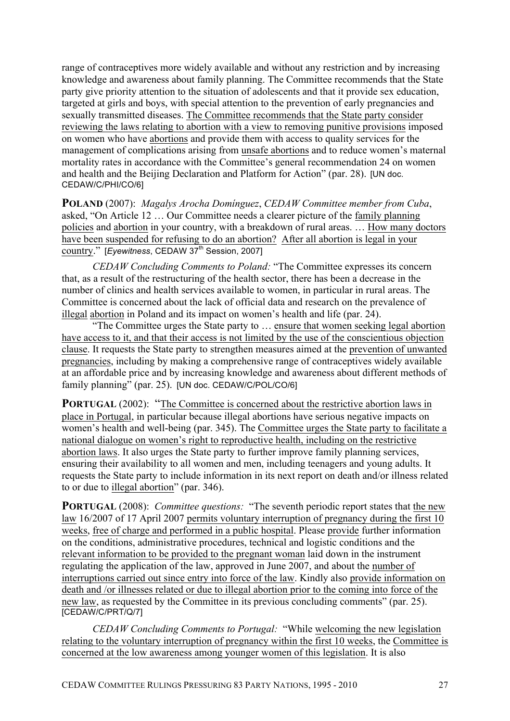range of contraceptives more widely available and without any restriction and by increasing knowledge and awareness about family planning. The Committee recommends that the State party give priority attention to the situation of adolescents and that it provide sex education, targeted at girls and boys, with special attention to the prevention of early pregnancies and sexually transmitted diseases. The Committee recommends that the State party consider reviewing the laws relating to abortion with a view to removing punitive provisions imposed on women who have abortions and provide them with access to quality services for the management of complications arising from unsafe abortions and to reduce women's maternal mortality rates in accordance with the Committee's general recommendation 24 on women and health and the Beijing Declaration and Platform for Action" (par. 28). **[UN doc.** CEDAW/C/PHI/CO/6]

**POLAND** (2007): *Magalys Arocha Domínguez*, *CEDAW Committee member from Cuba*, asked, "On Article 12 … Our Committee needs a clearer picture of the family planning policies and abortion in your country, with a breakdown of rural areas. … How many doctors have been suspended for refusing to do an abortion? After all abortion is legal in your country." [*Eyewitness*, CEDAW 37th Session, 2007]

*CEDAW Concluding Comments to Poland:* "The Committee expresses its concern that, as a result of the restructuring of the health sector, there has been a decrease in the number of clinics and health services available to women, in particular in rural areas. The Committee is concerned about the lack of official data and research on the prevalence of illegal abortion in Poland and its impact on women's health and life (par. 24).

"The Committee urges the State party to … ensure that women seeking legal abortion have access to it, and that their access is not limited by the use of the conscientious objection clause. It requests the State party to strengthen measures aimed at the prevention of unwanted pregnancies, including by making a comprehensive range of contraceptives widely available at an affordable price and by increasing knowledge and awareness about different methods of family planning" (par. 25). [UN doc. CEDAW/C/POL/CO/6]

**PORTUGAL** (2002): "The Committee is concerned about the restrictive abortion laws in place in Portugal, in particular because illegal abortions have serious negative impacts on women's health and well-being (par. 345). The Committee urges the State party to facilitate a national dialogue on women's right to reproductive health, including on the restrictive abortion laws. It also urges the State party to further improve family planning services, ensuring their availability to all women and men, including teenagers and young adults. It requests the State party to include information in its next report on death and/or illness related to or due to illegal abortion" (par. 346).

**PORTUGAL** (2008): *Committee questions:* "The seventh periodic report states that the new law 16/2007 of 17 April 2007 permits voluntary interruption of pregnancy during the first 10 weeks, free of charge and performed in a public hospital. Please provide further information on the conditions, administrative procedures, technical and logistic conditions and the relevant information to be provided to the pregnant woman laid down in the instrument regulating the application of the law, approved in June 2007, and about the number of interruptions carried out since entry into force of the law. Kindly also provide information on death and /or illnesses related or due to illegal abortion prior to the coming into force of the new law, as requested by the Committee in its previous concluding comments" (par. 25). [CEDAW/C/PRT/Q/7]

*CEDAW Concluding Comments to Portugal:* "While welcoming the new legislation relating to the voluntary interruption of pregnancy within the first 10 weeks, the Committee is concerned at the low awareness among younger women of this legislation. It is also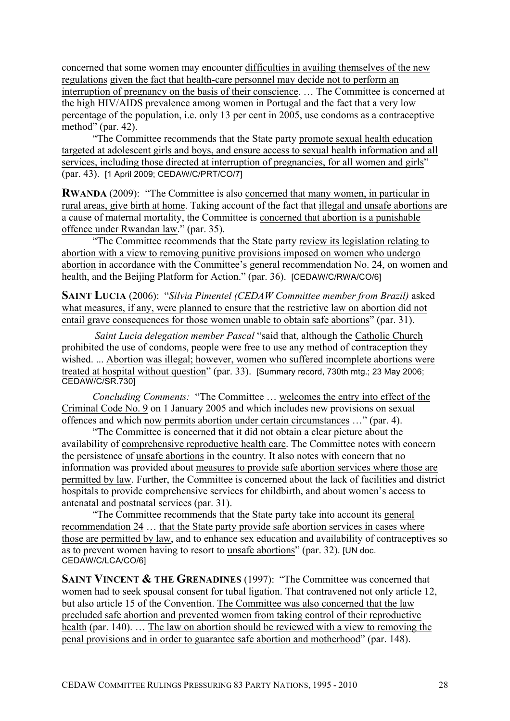concerned that some women may encounter difficulties in availing themselves of the new regulations given the fact that health-care personnel may decide not to perform an interruption of pregnancy on the basis of their conscience. … The Committee is concerned at the high HIV/AIDS prevalence among women in Portugal and the fact that a very low percentage of the population, i.e. only 13 per cent in 2005, use condoms as a contraceptive method" (par. 42).

"The Committee recommends that the State party promote sexual health education targeted at adolescent girls and boys, and ensure access to sexual health information and all services, including those directed at interruption of pregnancies, for all women and girls" (par. 43). [1 April 2009; CEDAW/C/PRT/CO/7]

**RWANDA** (2009): "The Committee is also concerned that many women, in particular in rural areas, give birth at home. Taking account of the fact that illegal and unsafe abortions are a cause of maternal mortality, the Committee is concerned that abortion is a punishable offence under Rwandan law." (par. 35).

"The Committee recommends that the State party review its legislation relating to abortion with a view to removing punitive provisions imposed on women who undergo abortion in accordance with the Committee's general recommendation No. 24, on women and health, and the Beijing Platform for Action." (par. 36). [CEDAW/C/RWA/CO/6]

**SAINT LUCIA** (2006): "*Silvia Pimentel (CEDAW Committee member from Brazil)* asked what measures, if any, were planned to ensure that the restrictive law on abortion did not entail grave consequences for those women unable to obtain safe abortions" (par. 31).

*Saint Lucia delegation member Pascal* "said that, although the Catholic Church prohibited the use of condoms, people were free to use any method of contraception they wished. ... Abortion was illegal; however, women who suffered incomplete abortions were treated at hospital without question" (par. 33). [Summary record, 730th mtg.; 23 May 2006; CEDAW/C/SR.730]

*Concluding Comments:* "The Committee … welcomes the entry into effect of the Criminal Code No. 9 on 1 January 2005 and which includes new provisions on sexual offences and which now permits abortion under certain circumstances …" (par. 4).

"The Committee is concerned that it did not obtain a clear picture about the availability of comprehensive reproductive health care. The Committee notes with concern the persistence of unsafe abortions in the country. It also notes with concern that no information was provided about measures to provide safe abortion services where those are permitted by law. Further, the Committee is concerned about the lack of facilities and district hospitals to provide comprehensive services for childbirth, and about women's access to antenatal and postnatal services (par. 31).

"The Committee recommends that the State party take into account its general recommendation 24 … that the State party provide safe abortion services in cases where those are permitted by law, and to enhance sex education and availability of contraceptives so as to prevent women having to resort to unsafe abortions" (par. 32). [UN doc. CEDAW/C/LCA/CO/6]

**SAINT VINCENT & THE GRENADINES** (1997): "The Committee was concerned that women had to seek spousal consent for tubal ligation. That contravened not only article 12, but also article 15 of the Convention. The Committee was also concerned that the law precluded safe abortion and prevented women from taking control of their reproductive health (par. 140)... The law on abortion should be reviewed with a view to removing the penal provisions and in order to guarantee safe abortion and motherhood" (par. 148).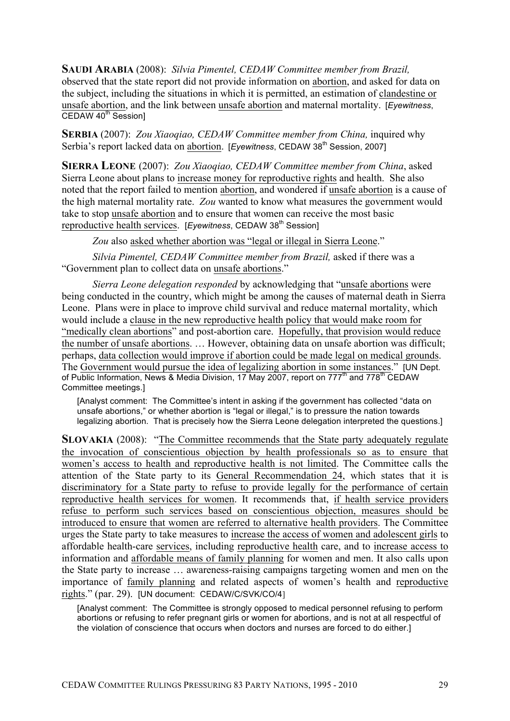**SAUDI ARABIA** (2008): *Silvia Pimentel, CEDAW Committee member from Brazil,* observed that the state report did not provide information on abortion, and asked for data on the subject, including the situations in which it is permitted, an estimation of clandestine or unsafe abortion, and the link between unsafe abortion and maternal mortality. [*Eyewitness*, CEDAW 40<sup>th</sup> Session]

**SERBIA** (2007): *Zou Xiaoqiao, CEDAW Committee member from China,* inquired why Serbia's report lacked data on abortion. *[Evewitness, CEDAW 38<sup>th</sup> Session, 2007]* 

**SIERRA LEONE** (2007): *Zou Xiaoqiao, CEDAW Committee member from China*, asked Sierra Leone about plans to increase money for reproductive rights and health. She also noted that the report failed to mention abortion, and wondered if unsafe abortion is a cause of the high maternal mortality rate. *Zou* wanted to know what measures the government would take to stop unsafe abortion and to ensure that women can receive the most basic reproductive health services. *[Eyewitness, CEDAW 38<sup>th</sup> Session]* 

Zou also asked whether abortion was "legal or illegal in Sierra Leone."

*Silvia Pimentel, CEDAW Committee member from Brazil,* asked if there was a "Government plan to collect data on unsafe abortions."

*Sierra Leone delegation responded* by acknowledging that "unsafe abortions were being conducted in the country, which might be among the causes of maternal death in Sierra Leone. Plans were in place to improve child survival and reduce maternal mortality, which would include a clause in the new reproductive health policy that would make room for "medically clean abortions" and post-abortion care. Hopefully, that provision would reduce the number of unsafe abortions. … However, obtaining data on unsafe abortion was difficult; perhaps, data collection would improve if abortion could be made legal on medical grounds. The Government would pursue the idea of legalizing abortion in some instances." [UN Dept. of Public Information, News & Media Division, 17 May 2007, report on 777<sup>th</sup> and 778<sup>th</sup> CEDAW Committee meetings.]

[Analyst comment: The Committee's intent in asking if the government has collected "data on unsafe abortions," or whether abortion is "legal or illegal," is to pressure the nation towards legalizing abortion. That is precisely how the Sierra Leone delegation interpreted the questions.]

**SLOVAKIA** (2008): "The Committee recommends that the State party adequately regulate the invocation of conscientious objection by health professionals so as to ensure that women's access to health and reproductive health is not limited. The Committee calls the attention of the State party to its General Recommendation 24, which states that it is discriminatory for a State party to refuse to provide legally for the performance of certain reproductive health services for women. It recommends that, if health service providers refuse to perform such services based on conscientious objection, measures should be introduced to ensure that women are referred to alternative health providers. The Committee urges the State party to take measures to increase the access of women and adolescent girls to affordable health-care services, including reproductive health care, and to increase access to information and affordable means of family planning for women and men. It also calls upon the State party to increase … awareness-raising campaigns targeting women and men on the importance of family planning and related aspects of women's health and reproductive rights." (par. 29). [UN document: CEDAW/C/SVK/CO/4]

[Analyst comment: The Committee is strongly opposed to medical personnel refusing to perform abortions or refusing to refer pregnant girls or women for abortions, and is not at all respectful of the violation of conscience that occurs when doctors and nurses are forced to do either.]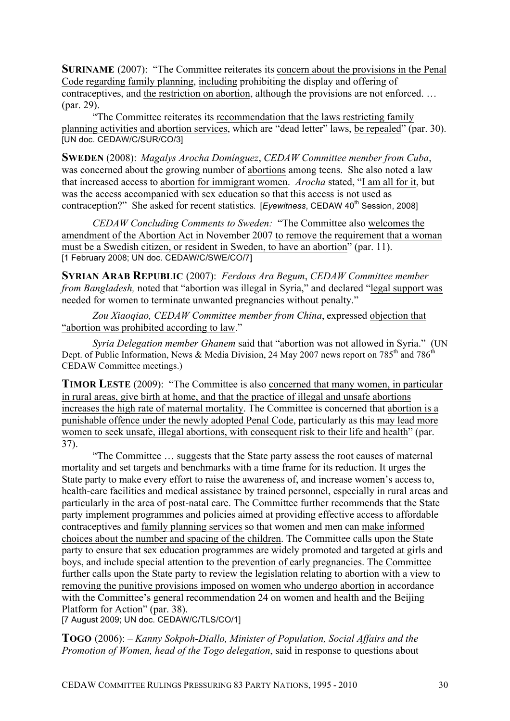**SURINAME** (2007): "The Committee reiterates its concern about the provisions in the Penal Code regarding family planning, including prohibiting the display and offering of contraceptives, and the restriction on abortion, although the provisions are not enforced. … (par. 29).

"The Committee reiterates its recommendation that the laws restricting family planning activities and abortion services, which are "dead letter" laws, be repealed" (par. 30). [UN doc. CEDAW/C/SUR/CO/3]

**SWEDEN** (2008): *Magalys Arocha Domínguez*, *CEDAW Committee member from Cuba*, was concerned about the growing number of abortions among teens. She also noted a law that increased access to abortion for immigrant women. *Arocha* stated, "I am all for it, but was the access accompanied with sex education so that this access is not used as contraception?" She asked for recent statistics. [*Eyewitness*, CEDAW 40<sup>th</sup> Session, 2008]

*CEDAW Concluding Comments to Sweden:* "The Committee also welcomes the amendment of the Abortion Act in November 2007 to remove the requirement that a woman must be a Swedish citizen, or resident in Sweden, to have an abortion" (par. 11). [1 February 2008; UN doc. CEDAW/C/SWE/CO/7]

**SYRIAN ARAB REPUBLIC** (2007): *Ferdous Ara Begum*, *CEDAW Committee member from Bangladesh,* noted that "abortion was illegal in Syria," and declared "legal support was needed for women to terminate unwanted pregnancies without penalty."

*Zou Xiaoqiao, CEDAW Committee member from China*, expressed objection that "abortion was prohibited according to law."

*Syria Delegation member Ghanem* said that "abortion was not allowed in Syria." (UN Dept. of Public Information, News & Media Division, 24 May 2007 news report on 785<sup>th</sup> and 786<sup>th</sup> CEDAW Committee meetings.)

**TIMOR LESTE** (2009): "The Committee is also concerned that many women, in particular in rural areas, give birth at home, and that the practice of illegal and unsafe abortions increases the high rate of maternal mortality. The Committee is concerned that abortion is a punishable offence under the newly adopted Penal Code, particularly as this may lead more women to seek unsafe, illegal abortions, with consequent risk to their life and health" (par. 37).

"The Committee … suggests that the State party assess the root causes of maternal mortality and set targets and benchmarks with a time frame for its reduction. It urges the State party to make every effort to raise the awareness of, and increase women's access to, health-care facilities and medical assistance by trained personnel, especially in rural areas and particularly in the area of post-natal care. The Committee further recommends that the State party implement programmes and policies aimed at providing effective access to affordable contraceptives and family planning services so that women and men can make informed choices about the number and spacing of the children. The Committee calls upon the State party to ensure that sex education programmes are widely promoted and targeted at girls and boys, and include special attention to the prevention of early pregnancies. The Committee further calls upon the State party to review the legislation relating to abortion with a view to removing the punitive provisions imposed on women who undergo abortion in accordance with the Committee's general recommendation 24 on women and health and the Beijing Platform for Action" (par. 38).

[7 August 2009; UN doc. CEDAW/C/TLS/CO/1]

**TOGO** (2006): – *Kanny Sokpoh-Diallo, Minister of Population, Social Affairs and the Promotion of Women, head of the Togo delegation*, said in response to questions about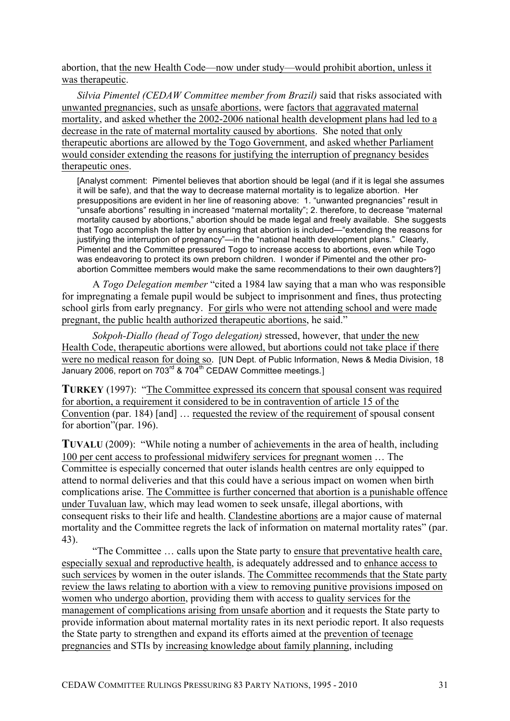abortion, that the new Health Code—now under study—would prohibit abortion, unless it was therapeutic.

*Silvia Pimentel (CEDAW Committee member from Brazil)* said that risks associated with unwanted pregnancies, such as unsafe abortions, were factors that aggravated maternal mortality, and asked whether the 2002-2006 national health development plans had led to a decrease in the rate of maternal mortality caused by abortions. She noted that only therapeutic abortions are allowed by the Togo Government, and asked whether Parliament would consider extending the reasons for justifying the interruption of pregnancy besides therapeutic ones.

[Analyst comment: Pimentel believes that abortion should be legal (and if it is legal she assumes it will be safe), and that the way to decrease maternal mortality is to legalize abortion. Her presuppositions are evident in her line of reasoning above: 1. "unwanted pregnancies" result in "unsafe abortions" resulting in increased "maternal mortality"; 2. therefore, to decrease "maternal mortality caused by abortions," abortion should be made legal and freely available. She suggests that Togo accomplish the latter by ensuring that abortion is included—"extending the reasons for justifying the interruption of pregnancy"—in the "national health development plans." Clearly, Pimentel and the Committee pressured Togo to increase access to abortions, even while Togo was endeavoring to protect its own preborn children. I wonder if Pimentel and the other proabortion Committee members would make the same recommendations to their own daughters?]

A *Togo Delegation member* "cited a 1984 law saying that a man who was responsible for impregnating a female pupil would be subject to imprisonment and fines, thus protecting school girls from early pregnancy. For girls who were not attending school and were made pregnant, the public health authorized therapeutic abortions, he said."

*Sokpoh-Diallo (head of Togo delegation)* stressed, however, that under the new Health Code, therapeutic abortions were allowed, but abortions could not take place if there were no medical reason for doing so. [UN Dept. of Public Information, News & Media Division, 18 January 2006, report on 703<sup>rd</sup> & 704<sup>th</sup> CEDAW Committee meetings.]

**TURKEY** (1997): "The Committee expressed its concern that spousal consent was required for abortion, a requirement it considered to be in contravention of article 15 of the Convention (par. 184) [and] … requested the review of the requirement of spousal consent for abortion"(par. 196).

**TUVALU** (2009): "While noting a number of achievements in the area of health, including 100 per cent access to professional midwifery services for pregnant women … The Committee is especially concerned that outer islands health centres are only equipped to attend to normal deliveries and that this could have a serious impact on women when birth complications arise. The Committee is further concerned that abortion is a punishable offence under Tuvaluan law, which may lead women to seek unsafe, illegal abortions, with consequent risks to their life and health. Clandestine abortions are a major cause of maternal mortality and the Committee regrets the lack of information on maternal mortality rates" (par. 43).

"The Committee … calls upon the State party to ensure that preventative health care, especially sexual and reproductive health, is adequately addressed and to enhance access to such services by women in the outer islands. The Committee recommends that the State party review the laws relating to abortion with a view to removing punitive provisions imposed on women who undergo abortion, providing them with access to quality services for the management of complications arising from unsafe abortion and it requests the State party to provide information about maternal mortality rates in its next periodic report. It also requests the State party to strengthen and expand its efforts aimed at the prevention of teenage pregnancies and STIs by increasing knowledge about family planning, including